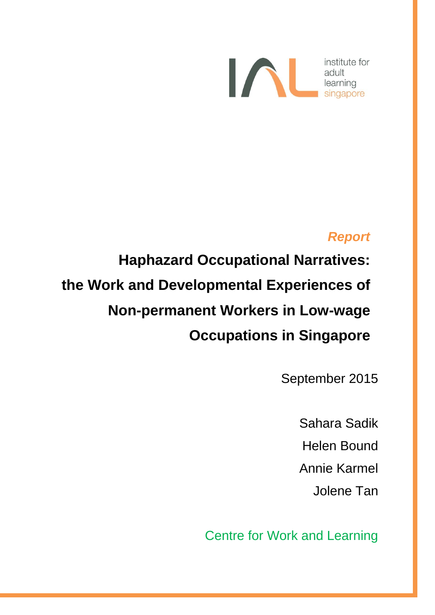

## *Report*

# **Haphazard Occupational Narratives: the Work and Developmental Experiences of Non-permanent Workers in Low-wage Occupations in Singapore**

September 2015

Sahara Sadik

Helen Bound

Annie Karmel

Jolene Tan

Centre for Work and Learning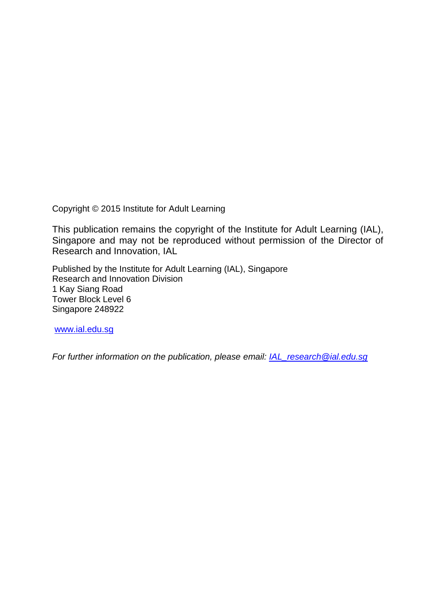Copyright © 2015 Institute for Adult Learning

This publication remains the copyright of the Institute for Adult Learning (IAL), Singapore and may not be reproduced without permission of the Director of Research and Innovation, IAL

Published by the Institute for Adult Learning (IAL), Singapore Research and Innovation Division 1 Kay Siang Road Tower Block Level 6 Singapore 248922

[www.ial.edu.sg](http://www.ial.edu.sg/)

*For further information on the publication, please email: [IAL\\_research@ial.edu.sg](mailto:IAL_research@ial.edu.sg)*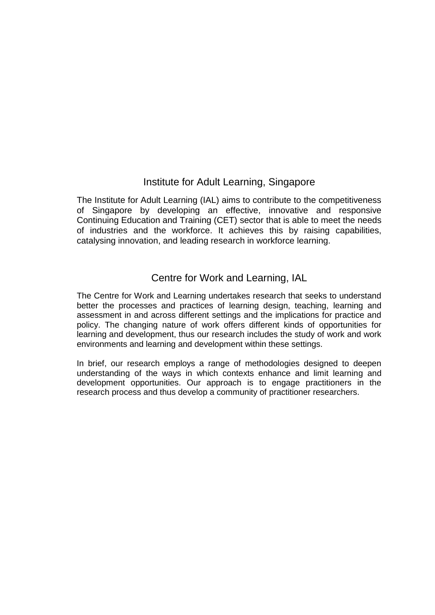### Institute for Adult Learning, Singapore

The Institute for Adult Learning (IAL) aims to contribute to the competitiveness of Singapore by developing an effective, innovative and responsive Continuing Education and Training (CET) sector that is able to meet the needs of industries and the workforce. It achieves this by raising capabilities, catalysing innovation, and leading research in workforce learning.

### Centre for Work and Learning, IAL

The Centre for Work and Learning undertakes research that seeks to understand better the processes and practices of learning design, teaching, learning and assessment in and across different settings and the implications for practice and policy. The changing nature of work offers different kinds of opportunities for learning and development, thus our research includes the study of work and work environments and learning and development within these settings.

In brief, our research employs a range of methodologies designed to deepen understanding of the ways in which contexts enhance and limit learning and development opportunities. Our approach is to engage practitioners in the research process and thus develop a community of practitioner researchers.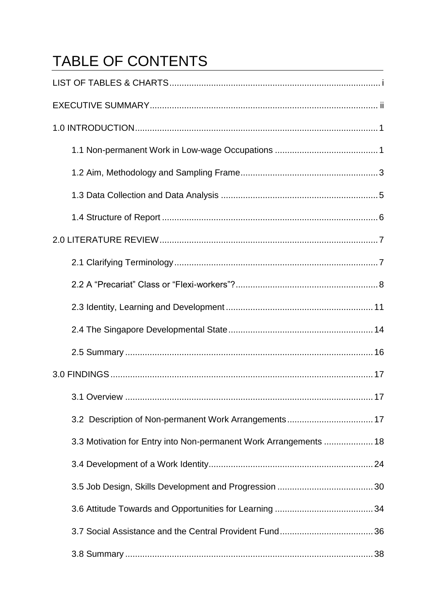## TABLE OF CONTENTS

| 3.3 Motivation for Entry into Non-permanent Work Arrangements  18 |
|-------------------------------------------------------------------|
|                                                                   |
|                                                                   |
|                                                                   |
|                                                                   |
|                                                                   |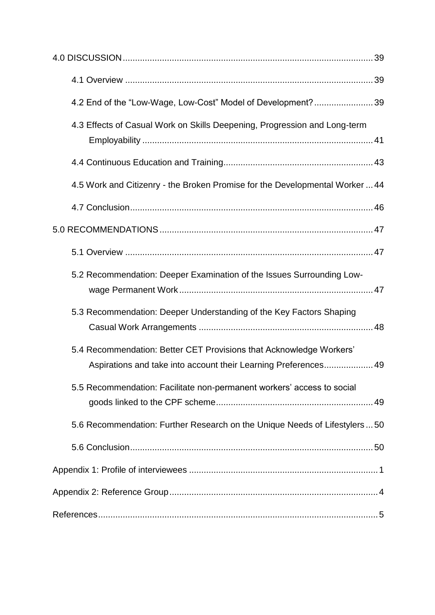| 4.2 End of the "Low-Wage, Low-Cost" Model of Development?39                                                                            |
|----------------------------------------------------------------------------------------------------------------------------------------|
| 4.3 Effects of Casual Work on Skills Deepening, Progression and Long-term                                                              |
|                                                                                                                                        |
| 4.5 Work and Citizenry - the Broken Promise for the Developmental Worker  44                                                           |
|                                                                                                                                        |
|                                                                                                                                        |
|                                                                                                                                        |
| 5.2 Recommendation: Deeper Examination of the Issues Surrounding Low-                                                                  |
| 5.3 Recommendation: Deeper Understanding of the Key Factors Shaping                                                                    |
| 5.4 Recommendation: Better CET Provisions that Acknowledge Workers'<br>Aspirations and take into account their Learning Preferences 49 |
| 5.5 Recommendation: Facilitate non-permanent workers' access to social                                                                 |
| 5.6 Recommendation: Further Research on the Unique Needs of Lifestylers  50                                                            |
|                                                                                                                                        |
|                                                                                                                                        |
|                                                                                                                                        |
|                                                                                                                                        |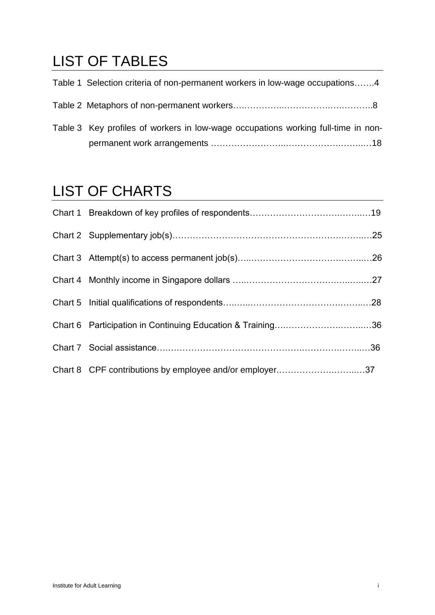## <span id="page-6-0"></span>LIST OF TABLES

| Table 1 Selection criteria of non-permanent workers in low-wage occupations4      |
|-----------------------------------------------------------------------------------|
|                                                                                   |
| Table 3 Key profiles of workers in low-wage occupations working full-time in non- |
|                                                                                   |

## LIST OF CHARTS

| Chart 6 Participation in Continuing Education & Training36 |  |
|------------------------------------------------------------|--|
|                                                            |  |
| Chart 8 CPF contributions by employee and/or employer37    |  |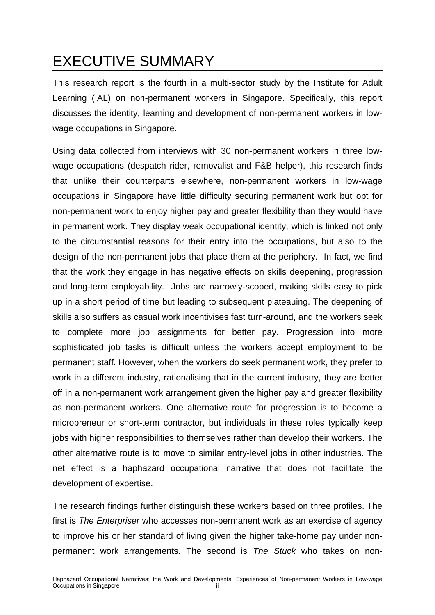## <span id="page-7-0"></span>EXECUTIVE SUMMARY

This research report is the fourth in a multi-sector study by the Institute for Adult Learning (IAL) on non-permanent workers in Singapore. Specifically, this report discusses the identity, learning and development of non-permanent workers in lowwage occupations in Singapore.

Using data collected from interviews with 30 non-permanent workers in three lowwage occupations (despatch rider, removalist and F&B helper), this research finds that unlike their counterparts elsewhere, non-permanent workers in low-wage occupations in Singapore have little difficulty securing permanent work but opt for non-permanent work to enjoy higher pay and greater flexibility than they would have in permanent work. They display weak occupational identity, which is linked not only to the circumstantial reasons for their entry into the occupations, but also to the design of the non-permanent jobs that place them at the periphery. In fact, we find that the work they engage in has negative effects on skills deepening, progression and long-term employability. Jobs are narrowly-scoped, making skills easy to pick up in a short period of time but leading to subsequent plateauing. The deepening of skills also suffers as casual work incentivises fast turn-around, and the workers seek to complete more job assignments for better pay. Progression into more sophisticated job tasks is difficult unless the workers accept employment to be permanent staff. However, when the workers do seek permanent work, they prefer to work in a different industry, rationalising that in the current industry, they are better off in a non-permanent work arrangement given the higher pay and greater flexibility as non-permanent workers. One alternative route for progression is to become a micropreneur or short-term contractor, but individuals in these roles typically keep jobs with higher responsibilities to themselves rather than develop their workers. The other alternative route is to move to similar entry-level jobs in other industries. The net effect is a haphazard occupational narrative that does not facilitate the development of expertise.

The research findings further distinguish these workers based on three profiles. The first is *The Enterpriser* who accesses non-permanent work as an exercise of agency to improve his or her standard of living given the higher take-home pay under nonpermanent work arrangements. The second is *The Stuck* who takes on non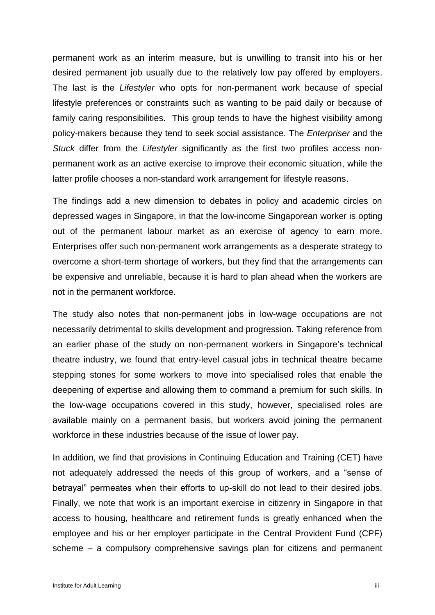permanent work as an interim measure, but is unwilling to transit into his or her desired permanent job usually due to the relatively low pay offered by employers. The last is the *Lifestyler* who opts for non-permanent work because of special lifestyle preferences or constraints such as wanting to be paid daily or because of family caring responsibilities. This group tends to have the highest visibility among policy-makers because they tend to seek social assistance. The *Enterpriser* and the *Stuck* differ from the *Lifestyler* significantly as the first two profiles access nonpermanent work as an active exercise to improve their economic situation, while the latter profile chooses a non-standard work arrangement for lifestyle reasons.

The findings add a new dimension to debates in policy and academic circles on depressed wages in Singapore, in that the low-income Singaporean worker is opting out of the permanent labour market as an exercise of agency to earn more. Enterprises offer such non-permanent work arrangements as a desperate strategy to overcome a short-term shortage of workers, but they find that the arrangements can be expensive and unreliable, because it is hard to plan ahead when the workers are not in the permanent workforce.

The study also notes that non-permanent jobs in low-wage occupations are not necessarily detrimental to skills development and progression. Taking reference from an earlier phase of the study on non-permanent workers in Singapore's technical theatre industry, we found that entry-level casual jobs in technical theatre became stepping stones for some workers to move into specialised roles that enable the deepening of expertise and allowing them to command a premium for such skills. In the low-wage occupations covered in this study, however, specialised roles are available mainly on a permanent basis, but workers avoid joining the permanent workforce in these industries because of the issue of lower pay.

In addition, we find that provisions in Continuing Education and Training (CET) have not adequately addressed the needs of this group of workers, and a "sense of betrayal" permeates when their efforts to up-skill do not lead to their desired jobs. Finally, we note that work is an important exercise in citizenry in Singapore in that access to housing, healthcare and retirement funds is greatly enhanced when the employee and his or her employer participate in the Central Provident Fund (CPF) scheme – a compulsory comprehensive savings plan for citizens and permanent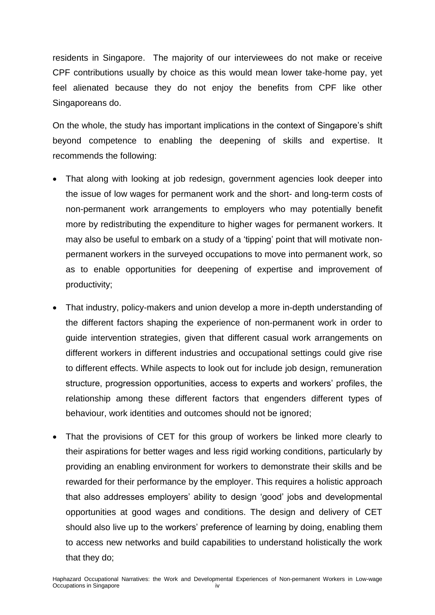residents in Singapore. The majority of our interviewees do not make or receive CPF contributions usually by choice as this would mean lower take-home pay, yet feel alienated because they do not enjoy the benefits from CPF like other Singaporeans do.

On the whole, the study has important implications in the context of Singapore's shift beyond competence to enabling the deepening of skills and expertise. It recommends the following:

- That along with looking at job redesign, government agencies look deeper into the issue of low wages for permanent work and the short- and long-term costs of non-permanent work arrangements to employers who may potentially benefit more by redistributing the expenditure to higher wages for permanent workers. It may also be useful to embark on a study of a 'tipping' point that will motivate nonpermanent workers in the surveyed occupations to move into permanent work, so as to enable opportunities for deepening of expertise and improvement of productivity;
- That industry, policy-makers and union develop a more in-depth understanding of the different factors shaping the experience of non-permanent work in order to guide intervention strategies, given that different casual work arrangements on different workers in different industries and occupational settings could give rise to different effects. While aspects to look out for include job design, remuneration structure, progression opportunities, access to experts and workers' profiles, the relationship among these different factors that engenders different types of behaviour, work identities and outcomes should not be ignored;
- That the provisions of CET for this group of workers be linked more clearly to their aspirations for better wages and less rigid working conditions, particularly by providing an enabling environment for workers to demonstrate their skills and be rewarded for their performance by the employer. This requires a holistic approach that also addresses employers' ability to design 'good' jobs and developmental opportunities at good wages and conditions. The design and delivery of CET should also live up to the workers' preference of learning by doing, enabling them to access new networks and build capabilities to understand holistically the work that they do;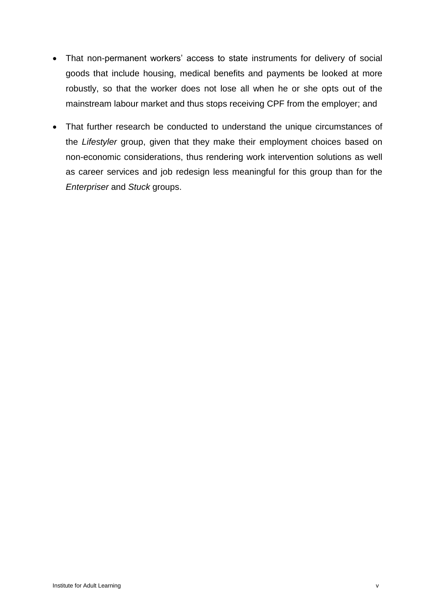- That non-permanent workers' access to state instruments for delivery of social goods that include housing, medical benefits and payments be looked at more robustly, so that the worker does not lose all when he or she opts out of the mainstream labour market and thus stops receiving CPF from the employer; and
- That further research be conducted to understand the unique circumstances of the *Lifestyler* group, given that they make their employment choices based on non-economic considerations, thus rendering work intervention solutions as well as career services and job redesign less meaningful for this group than for the *Enterpriser* and *Stuck* groups.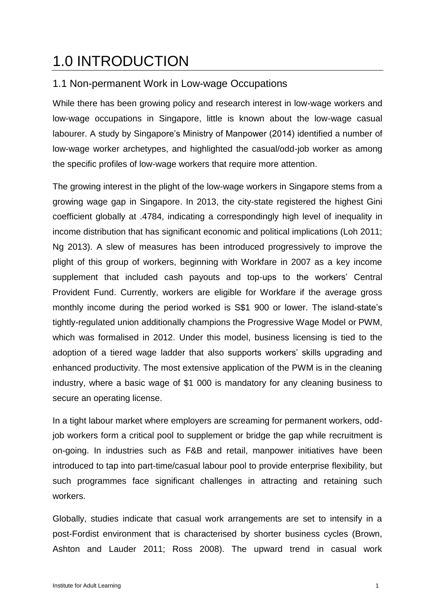## <span id="page-12-0"></span>1.0 INTRODUCTION

## <span id="page-12-1"></span>1.1 Non-permanent Work in Low-wage Occupations

While there has been growing policy and research interest in low-wage workers and low-wage occupations in Singapore, little is known about the low-wage casual labourer. A study by Singapore's Ministry of Manpower (2014) identified a number of low-wage worker archetypes, and highlighted the casual/odd-job worker as among the specific profiles of low-wage workers that require more attention.

The growing interest in the plight of the low-wage workers in Singapore stems from a growing wage gap in Singapore. In 2013, the city-state registered the highest Gini coefficient globally at .4784, indicating a correspondingly high level of inequality in income distribution that has significant economic and political implications (Loh 2011; Ng 2013). A slew of measures has been introduced progressively to improve the plight of this group of workers, beginning with Workfare in 2007 as a key income supplement that included cash payouts and top-ups to the workers' Central Provident Fund. Currently, workers are eligible for Workfare if the average gross monthly income during the period worked is S\$1 900 or lower. The island-state's tightly-regulated union additionally champions the Progressive Wage Model or PWM, which was formalised in 2012. Under this model, business licensing is tied to the adoption of a tiered wage ladder that also supports workers' skills upgrading and enhanced productivity. The most extensive application of the PWM is in the cleaning industry, where a basic wage of \$1 000 is mandatory for any cleaning business to secure an operating license.

In a tight labour market where employers are screaming for permanent workers, oddjob workers form a critical pool to supplement or bridge the gap while recruitment is on-going. In industries such as F&B and retail, manpower initiatives have been introduced to tap into part-time/casual labour pool to provide enterprise flexibility, but such programmes face significant challenges in attracting and retaining such workers.

Globally, studies indicate that casual work arrangements are set to intensify in a post-Fordist environment that is characterised by shorter business cycles (Brown, Ashton and Lauder 2011; Ross 2008). The upward trend in casual work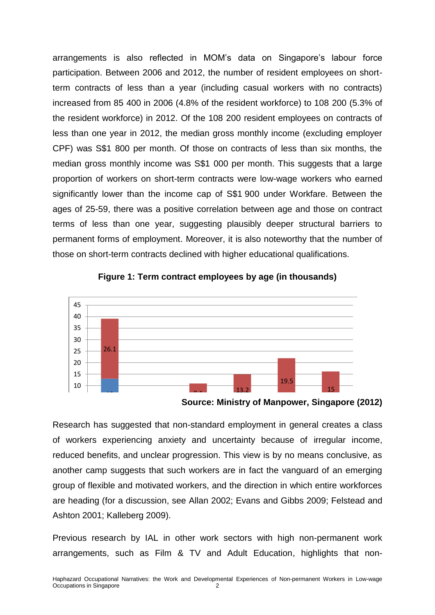arrangements is also reflected in MOM's data on Singapore's labour force participation. Between 2006 and 2012, the number of resident employees on shortterm contracts of less than a year (including casual workers with no contracts) increased from 85 400 in 2006 (4.8% of the resident workforce) to 108 200 (5.3% of the resident workforce) in 2012. Of the 108 200 resident employees on contracts of less than one year in 2012, the median gross monthly income (excluding employer CPF) was S\$1 800 per month. Of those on contracts of less than six months, the median gross monthly income was S\$1 000 per month. This suggests that a large proportion of workers on short-term contracts were low-wage workers who earned significantly lower than the income cap of S\$1 900 under Workfare. Between the ages of 25-59, there was a positive correlation between age and those on contract terms of less than one year, suggesting plausibly deeper structural barriers to permanent forms of employment. Moreover, it is also noteworthy that the number of those on short-term contracts declined with higher educational qualifications.



#### **Figure 1: Term contract employees by age (in thousands)**



Research has suggested that non-standard employment in general creates a class of workers experiencing anxiety and uncertainty because of irregular income, reduced benefits, and unclear progression. This view is by no means conclusive, as another camp suggests that such workers are in fact the vanguard of an emerging group of flexible and motivated workers, and the direction in which entire workforces are heading (for a discussion, see Allan 2002; Evans and Gibbs 2009; Felstead and Ashton 2001; Kalleberg 2009).

Previous research by IAL in other work sectors with high non-permanent work arrangements, such as Film & TV and Adult Education, highlights that non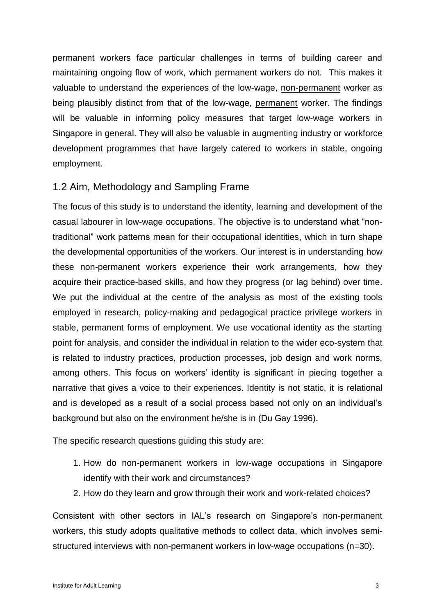permanent workers face particular challenges in terms of building career and maintaining ongoing flow of work, which permanent workers do not. This makes it valuable to understand the experiences of the low-wage, non-permanent worker as being plausibly distinct from that of the low-wage, permanent worker. The findings will be valuable in informing policy measures that target low-wage workers in Singapore in general. They will also be valuable in augmenting industry or workforce development programmes that have largely catered to workers in stable, ongoing employment.

#### <span id="page-14-0"></span>1.2 Aim, Methodology and Sampling Frame

The focus of this study is to understand the identity, learning and development of the casual labourer in low-wage occupations. The objective is to understand what "nontraditional" work patterns mean for their occupational identities, which in turn shape the developmental opportunities of the workers. Our interest is in understanding how these non-permanent workers experience their work arrangements, how they acquire their practice-based skills, and how they progress (or lag behind) over time. We put the individual at the centre of the analysis as most of the existing tools employed in research, policy-making and pedagogical practice privilege workers in stable, permanent forms of employment. We use vocational identity as the starting point for analysis, and consider the individual in relation to the wider eco-system that is related to industry practices, production processes, job design and work norms, among others. This focus on workers' identity is significant in piecing together a narrative that gives a voice to their experiences. Identity is not static, it is relational and is developed as a result of a social process based not only on an individual's background but also on the environment he/she is in (Du Gay 1996).

The specific research questions guiding this study are:

- 1. How do non-permanent workers in low-wage occupations in Singapore identify with their work and circumstances?
- 2. How do they learn and grow through their work and work-related choices?

Consistent with other sectors in IAL's research on Singapore's non-permanent workers, this study adopts qualitative methods to collect data, which involves semistructured interviews with non-permanent workers in low-wage occupations (n=30).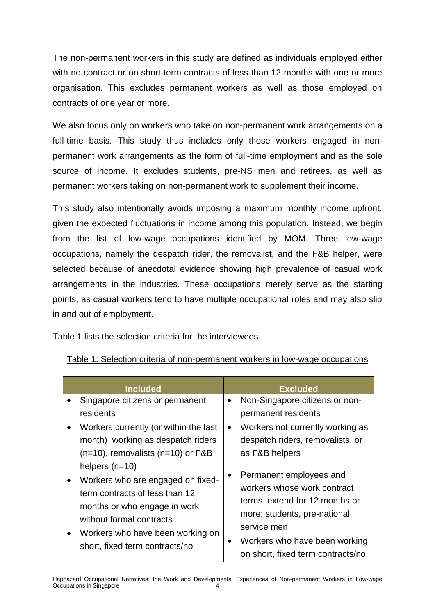The non-permanent workers in this study are defined as individuals employed either with no contract or on short-term contracts of less than 12 months with one or more organisation. This excludes permanent workers as well as those employed on contracts of one year or more.

We also focus only on workers who take on non-permanent work arrangements on a full-time basis. This study thus includes only those workers engaged in nonpermanent work arrangements as the form of full-time employment and as the sole source of income. It excludes students, pre-NS men and retirees, as well as permanent workers taking on non-permanent work to supplement their income.

This study also intentionally avoids imposing a maximum monthly income upfront, given the expected fluctuations in income among this population. Instead, we begin from the list of low-wage occupations identified by MOM. Three low-wage occupations, namely the despatch rider, the removalist, and the F&B helper, were selected because of anecdotal evidence showing high prevalence of casual work arrangements in the industries. These occupations merely serve as the starting points, as casual workers tend to have multiple occupational roles and may also slip in and out of employment.

Table 1 lists the selection criteria for the interviewees.

| <b>Included</b>                                                                                                                                                                                                           | <b>Excluded</b>                                                                                                                                                                                                                        |
|---------------------------------------------------------------------------------------------------------------------------------------------------------------------------------------------------------------------------|----------------------------------------------------------------------------------------------------------------------------------------------------------------------------------------------------------------------------------------|
| Singapore citizens or permanent<br>residents<br>Workers currently (or within the last<br>$\bullet$<br>month) working as despatch riders<br>$(n=10)$ , removalists $(n=10)$ or F&B                                         | Non-Singapore citizens or non-<br>$\bullet$<br>permanent residents<br>Workers not currently working as<br>$\bullet$<br>despatch riders, removalists, or<br>as F&B helpers                                                              |
| helpers $(n=10)$<br>Workers who are engaged on fixed-<br>term contracts of less than 12<br>months or who engage in work<br>without formal contracts<br>Workers who have been working on<br>short, fixed term contracts/no | Permanent employees and<br>$\bullet$<br>workers whose work contract<br>terms extend for 12 months or<br>more; students, pre-national<br>service men<br>Workers who have been working<br>$\bullet$<br>on short, fixed term contracts/no |

|--|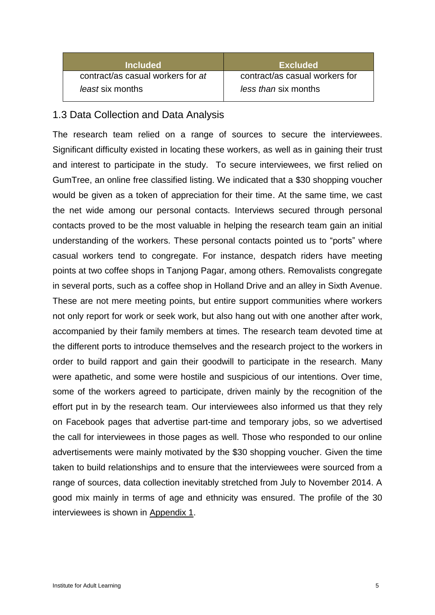| <b>Included</b>                   | <b>Excluded</b>                |
|-----------------------------------|--------------------------------|
| contract/as casual workers for at | contract/as casual workers for |
| least six months                  | less than six months           |

### <span id="page-16-0"></span>1.3 Data Collection and Data Analysis

The research team relied on a range of sources to secure the interviewees. Significant difficulty existed in locating these workers, as well as in gaining their trust and interest to participate in the study. To secure interviewees, we first relied on GumTree, an online free classified listing. We indicated that a \$30 shopping voucher would be given as a token of appreciation for their time. At the same time, we cast the net wide among our personal contacts. Interviews secured through personal contacts proved to be the most valuable in helping the research team gain an initial understanding of the workers. These personal contacts pointed us to "ports" where casual workers tend to congregate. For instance, despatch riders have meeting points at two coffee shops in Tanjong Pagar, among others. Removalists congregate in several ports, such as a coffee shop in Holland Drive and an alley in Sixth Avenue. These are not mere meeting points, but entire support communities where workers not only report for work or seek work, but also hang out with one another after work, accompanied by their family members at times. The research team devoted time at the different ports to introduce themselves and the research project to the workers in order to build rapport and gain their goodwill to participate in the research. Many were apathetic, and some were hostile and suspicious of our intentions. Over time, some of the workers agreed to participate, driven mainly by the recognition of the effort put in by the research team. Our interviewees also informed us that they rely on Facebook pages that advertise part-time and temporary jobs, so we advertised the call for interviewees in those pages as well. Those who responded to our online advertisements were mainly motivated by the \$30 shopping voucher. Given the time taken to build relationships and to ensure that the interviewees were sourced from a range of sources, data collection inevitably stretched from July to November 2014. A good mix mainly in terms of age and ethnicity was ensured. The profile of the 30 interviewees is shown in Appendix 1.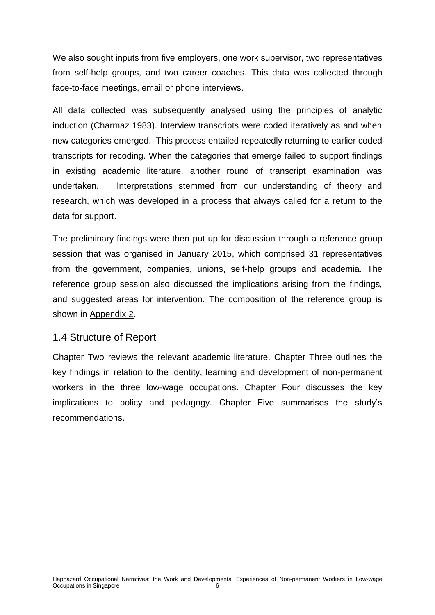We also sought inputs from five employers, one work supervisor, two representatives from self-help groups, and two career coaches. This data was collected through face-to-face meetings, email or phone interviews.

All data collected was subsequently analysed using the principles of analytic induction (Charmaz 1983). Interview transcripts were coded iteratively as and when new categories emerged. This process entailed repeatedly returning to earlier coded transcripts for recoding. When the categories that emerge failed to support findings in existing academic literature, another round of transcript examination was undertaken. Interpretations stemmed from our understanding of theory and research, which was developed in a process that always called for a return to the data for support.

The preliminary findings were then put up for discussion through a reference group session that was organised in January 2015, which comprised 31 representatives from the government, companies, unions, self-help groups and academia. The reference group session also discussed the implications arising from the findings, and suggested areas for intervention. The composition of the reference group is shown in Appendix 2.

#### <span id="page-17-0"></span>1.4 Structure of Report

Chapter Two reviews the relevant academic literature. Chapter Three outlines the key findings in relation to the identity, learning and development of non-permanent workers in the three low-wage occupations. Chapter Four discusses the key implications to policy and pedagogy. Chapter Five summarises the study's recommendations.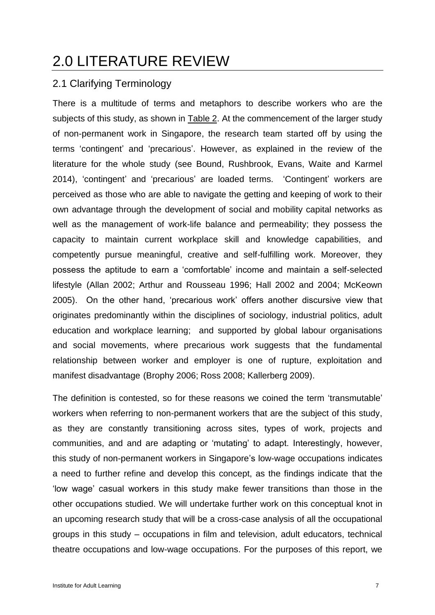## <span id="page-18-0"></span>2.0 LITERATURE REVIEW

### <span id="page-18-1"></span>2.1 Clarifying Terminology

There is a multitude of terms and metaphors to describe workers who are the subjects of this study, as shown in Table 2. At the commencement of the larger study of non-permanent work in Singapore, the research team started off by using the terms 'contingent' and 'precarious'. However, as explained in the review of the literature for the whole study (see Bound, Rushbrook, Evans, Waite and Karmel 2014), 'contingent' and 'precarious' are loaded terms. 'Contingent' workers are perceived as those who are able to navigate the getting and keeping of work to their own advantage through the development of social and mobility capital networks as well as the management of work-life balance and permeability; they possess the capacity to maintain current workplace skill and knowledge capabilities, and competently pursue meaningful, creative and self-fulfilling work. Moreover, they possess the aptitude to earn a 'comfortable' income and maintain a self-selected lifestyle (Allan 2002; Arthur and Rousseau 1996; Hall 2002 and 2004; McKeown 2005). On the other hand, 'precarious work' offers another discursive view that originates predominantly within the disciplines of sociology, industrial politics, adult education and workplace learning; and supported by global labour organisations and social movements, where precarious work suggests that the fundamental relationship between worker and employer is one of rupture, exploitation and manifest disadvantage (Brophy 2006; Ross 2008; Kallerberg 2009).

The definition is contested, so for these reasons we coined the term 'transmutable' workers when referring to non-permanent workers that are the subject of this study, as they are constantly transitioning across sites, types of work, projects and communities, and and are adapting or 'mutating' to adapt. Interestingly, however, this study of non-permanent workers in Singapore's low-wage occupations indicates a need to further refine and develop this concept, as the findings indicate that the 'low wage' casual workers in this study make fewer transitions than those in the other occupations studied. We will undertake further work on this conceptual knot in an upcoming research study that will be a cross-case analysis of all the occupational groups in this study – occupations in film and television, adult educators, technical theatre occupations and low-wage occupations. For the purposes of this report, we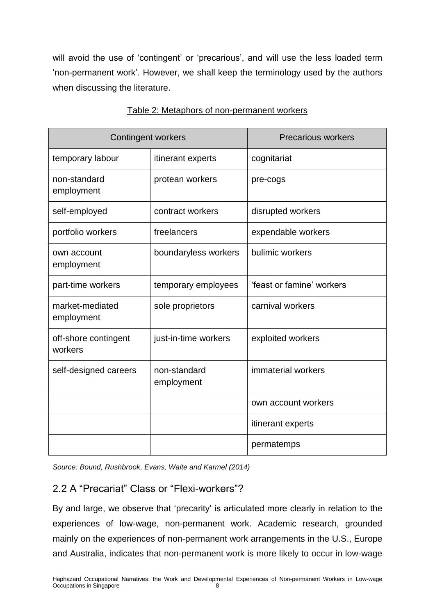will avoid the use of 'contingent' or 'precarious', and will use the less loaded term 'non-permanent work'. However, we shall keep the terminology used by the authors when discussing the literature.

| Contingent workers              |                            | <b>Precarious workers</b> |
|---------------------------------|----------------------------|---------------------------|
| temporary labour                | itinerant experts          | cognitariat               |
| non-standard<br>employment      | protean workers            | pre-cogs                  |
| self-employed                   | contract workers           | disrupted workers         |
| portfolio workers               | freelancers                | expendable workers        |
| own account<br>employment       | boundaryless workers       | bulimic workers           |
| part-time workers               | temporary employees        | 'feast or famine' workers |
| market-mediated<br>employment   | sole proprietors           | carnival workers          |
| off-shore contingent<br>workers | just-in-time workers       | exploited workers         |
| self-designed careers           | non-standard<br>employment | immaterial workers        |
|                                 |                            | own account workers       |
|                                 |                            | itinerant experts         |
|                                 |                            | permatemps                |

| Table 2: Metaphors of non-permanent workers |
|---------------------------------------------|
|---------------------------------------------|

*Source: Bound, Rushbrook, Evans, Waite and Karmel (2014)*

### <span id="page-19-0"></span>2.2 A "Precariat" Class or "Flexi-workers"?

By and large, we observe that 'precarity' is articulated more clearly in relation to the experiences of low-wage, non-permanent work. Academic research, grounded mainly on the experiences of non-permanent work arrangements in the U.S., Europe and Australia, indicates that non-permanent work is more likely to occur in low-wage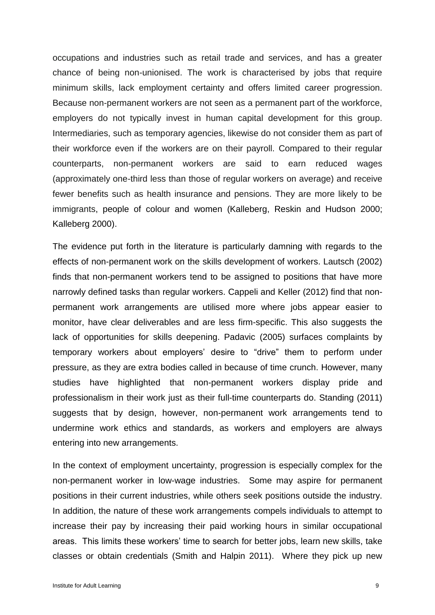occupations and industries such as retail trade and services, and has a greater chance of being non-unionised. The work is characterised by jobs that require minimum skills, lack employment certainty and offers limited career progression. Because non-permanent workers are not seen as a permanent part of the workforce, employers do not typically invest in human capital development for this group. Intermediaries, such as temporary agencies, likewise do not consider them as part of their workforce even if the workers are on their payroll. Compared to their regular counterparts, non-permanent workers are said to earn reduced wages (approximately one-third less than those of regular workers on average) and receive fewer benefits such as health insurance and pensions. They are more likely to be immigrants, people of colour and women (Kalleberg, Reskin and Hudson 2000; Kalleberg 2000).

The evidence put forth in the literature is particularly damning with regards to the effects of non-permanent work on the skills development of workers. Lautsch (2002) finds that non-permanent workers tend to be assigned to positions that have more narrowly defined tasks than regular workers. Cappeli and Keller (2012) find that nonpermanent work arrangements are utilised more where jobs appear easier to monitor, have clear deliverables and are less firm-specific. This also suggests the lack of opportunities for skills deepening. Padavic (2005) surfaces complaints by temporary workers about employers' desire to "drive" them to perform under pressure, as they are extra bodies called in because of time crunch. However, many studies have highlighted that non-permanent workers display pride and professionalism in their work just as their full-time counterparts do. Standing (2011) suggests that by design, however, non-permanent work arrangements tend to undermine work ethics and standards, as workers and employers are always entering into new arrangements.

In the context of employment uncertainty, progression is especially complex for the non-permanent worker in low-wage industries. Some may aspire for permanent positions in their current industries, while others seek positions outside the industry. In addition, the nature of these work arrangements compels individuals to attempt to increase their pay by increasing their paid working hours in similar occupational areas. This limits these workers' time to search for better jobs, learn new skills, take classes or obtain credentials (Smith and Halpin 2011). Where they pick up new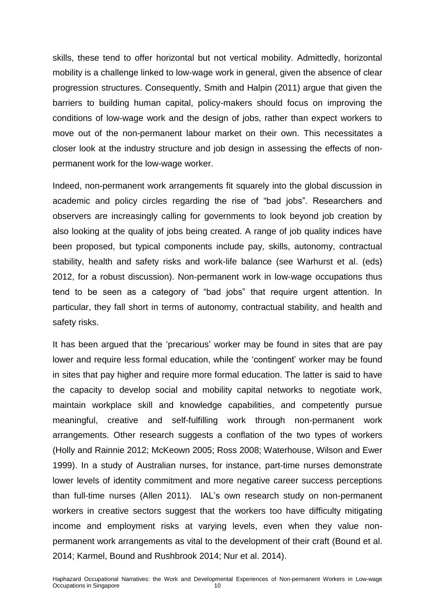skills, these tend to offer horizontal but not vertical mobility. Admittedly, horizontal mobility is a challenge linked to low-wage work in general, given the absence of clear progression structures. Consequently, Smith and Halpin (2011) argue that given the barriers to building human capital, policy-makers should focus on improving the conditions of low-wage work and the design of jobs, rather than expect workers to move out of the non-permanent labour market on their own. This necessitates a closer look at the industry structure and job design in assessing the effects of nonpermanent work for the low-wage worker.

Indeed, non-permanent work arrangements fit squarely into the global discussion in academic and policy circles regarding the rise of "bad jobs". Researchers and observers are increasingly calling for governments to look beyond job creation by also looking at the quality of jobs being created. A range of job quality indices have been proposed, but typical components include pay, skills, autonomy, contractual stability, health and safety risks and work-life balance (see Warhurst et al. (eds) 2012, for a robust discussion). Non-permanent work in low-wage occupations thus tend to be seen as a category of "bad jobs" that require urgent attention. In particular, they fall short in terms of autonomy, contractual stability, and health and safety risks.

It has been argued that the 'precarious' worker may be found in sites that are pay lower and require less formal education, while the 'contingent' worker may be found in sites that pay higher and require more formal education. The latter is said to have the capacity to develop social and mobility capital networks to negotiate work, maintain workplace skill and knowledge capabilities, and competently pursue meaningful, creative and self-fulfilling work through non-permanent work arrangements. Other research suggests a conflation of the two types of workers (Holly and Rainnie 2012; McKeown 2005; Ross 2008; Waterhouse, Wilson and Ewer 1999). In a study of Australian nurses, for instance, part-time nurses demonstrate lower levels of identity commitment and more negative career success perceptions than full-time nurses (Allen 2011). IAL's own research study on non-permanent workers in creative sectors suggest that the workers too have difficulty mitigating income and employment risks at varying levels, even when they value nonpermanent work arrangements as vital to the development of their craft (Bound et al. 2014; Karmel, Bound and Rushbrook 2014; Nur et al. 2014).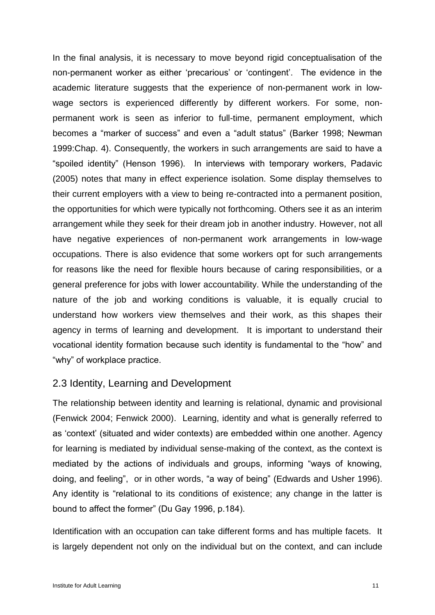In the final analysis, it is necessary to move beyond rigid conceptualisation of the non-permanent worker as either 'precarious' or 'contingent'. The evidence in the academic literature suggests that the experience of non-permanent work in lowwage sectors is experienced differently by different workers. For some, nonpermanent work is seen as inferior to full-time, permanent employment, which becomes a "marker of success" and even a "adult status" (Barker 1998; Newman 1999:Chap. 4). Consequently, the workers in such arrangements are said to have a "spoiled identity" (Henson 1996). In interviews with temporary workers, Padavic (2005) notes that many in effect experience isolation. Some display themselves to their current employers with a view to being re-contracted into a permanent position, the opportunities for which were typically not forthcoming. Others see it as an interim arrangement while they seek for their dream job in another industry. However, not all have negative experiences of non-permanent work arrangements in low-wage occupations. There is also evidence that some workers opt for such arrangements for reasons like the need for flexible hours because of caring responsibilities, or a general preference for jobs with lower accountability. While the understanding of the nature of the job and working conditions is valuable, it is equally crucial to understand how workers view themselves and their work, as this shapes their agency in terms of learning and development. It is important to understand their vocational identity formation because such identity is fundamental to the "how" and "why" of workplace practice.

#### <span id="page-22-0"></span>2.3 Identity, Learning and Development

The relationship between identity and learning is relational, dynamic and provisional (Fenwick 2004; Fenwick 2000). Learning, identity and what is generally referred to as 'context' (situated and wider contexts) are embedded within one another. Agency for learning is mediated by individual sense-making of the context, as the context is mediated by the actions of individuals and groups, informing "ways of knowing, doing, and feeling", or in other words, "a way of being" (Edwards and Usher 1996). Any identity is "relational to its conditions of existence; any change in the latter is bound to affect the former" (Du Gay 1996, p.184).

Identification with an occupation can take different forms and has multiple facets. It is largely dependent not only on the individual but on the context, and can include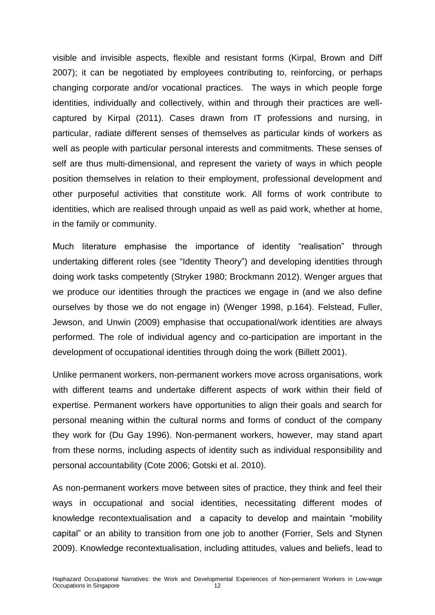visible and invisible aspects, flexible and resistant forms (Kirpal, Brown and Diff 2007); it can be negotiated by employees contributing to, reinforcing, or perhaps changing corporate and/or vocational practices. The ways in which people forge identities, individually and collectively, within and through their practices are wellcaptured by Kirpal (2011). Cases drawn from IT professions and nursing, in particular, radiate different senses of themselves as particular kinds of workers as well as people with particular personal interests and commitments. These senses of self are thus multi-dimensional, and represent the variety of ways in which people position themselves in relation to their employment, professional development and other purposeful activities that constitute work. All forms of work contribute to identities, which are realised through unpaid as well as paid work, whether at home, in the family or community.

Much literature emphasise the importance of identity "realisation" through undertaking different roles (see "Identity Theory") and developing identities through doing work tasks competently (Stryker 1980; Brockmann 2012). Wenger argues that we produce our identities through the practices we engage in (and we also define ourselves by those we do not engage in) (Wenger 1998, p.164). Felstead, Fuller, Jewson, and Unwin (2009) emphasise that occupational/work identities are always performed. The role of individual agency and co-participation are important in the development of occupational identities through doing the work (Billett 2001).

Unlike permanent workers, non-permanent workers move across organisations, work with different teams and undertake different aspects of work within their field of expertise. Permanent workers have opportunities to align their goals and search for personal meaning within the cultural norms and forms of conduct of the company they work for (Du Gay 1996). Non-permanent workers, however, may stand apart from these norms, including aspects of identity such as individual responsibility and personal accountability (Cote 2006; Gotski et al. 2010).

As non-permanent workers move between sites of practice, they think and feel their ways in occupational and social identities, necessitating different modes of knowledge recontextualisation and a capacity to develop and maintain "mobility capital" or an ability to transition from one job to another (Forrier, Sels and Stynen 2009). Knowledge recontextualisation, including attitudes, values and beliefs, lead to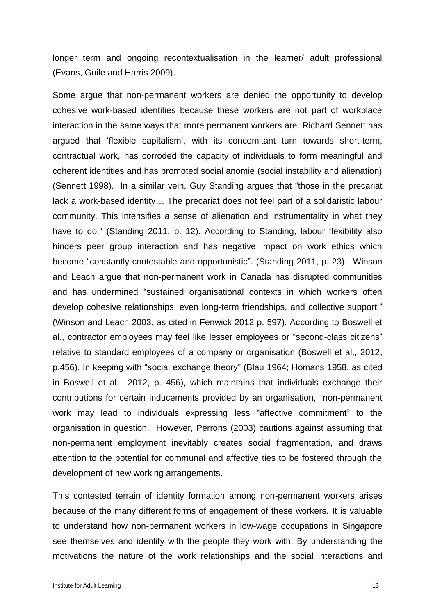longer term and ongoing recontextualisation in the learner/ adult professional (Evans, Guile and Harris 2009).

Some argue that non-permanent workers are denied the opportunity to develop cohesive work-based identities because these workers are not part of workplace interaction in the same ways that more permanent workers are. Richard Sennett has argued that 'flexible capitalism', with its concomitant turn towards short-term, contractual work, has corroded the capacity of individuals to form meaningful and coherent identities and has promoted social anomie (social instability and alienation) (Sennett 1998). In a similar vein, Guy Standing argues that "those in the precariat lack a work-based identity*…* The precariat does not feel part of a solidaristic labour community. This intensifies a sense of alienation and instrumentality in what they have to do." (Standing 2011, p. 12). According to Standing, labour flexibility also hinders peer group interaction and has negative impact on work ethics which become "constantly contestable and opportunistic". (Standing 2011, p. 23). Winson and Leach argue that non-permanent work in Canada has disrupted communities and has undermined "sustained organisational contexts in which workers often develop cohesive relationships, even long-term friendships, and collective support." (Winson and Leach 2003, as cited in Fenwick 2012 p. 597). According to Boswell et al., contractor employees may feel like lesser employees or "second-class citizens" relative to standard employees of a company or organisation (Boswell et al., 2012, p.456). In keeping with "social exchange theory" (Blau 1964; Homans 1958, as cited in Boswell et al. 2012, p. 456), which maintains that individuals exchange their contributions for certain inducements provided by an organisation, non-permanent work may lead to individuals expressing less "affective commitment" to the organisation in question. However, Perrons (2003) cautions against assuming that non-permanent employment inevitably creates social fragmentation, and draws attention to the potential for communal and affective ties to be fostered through the development of new working arrangements.

This contested terrain of identity formation among non-permanent workers arises because of the many different forms of engagement of these workers. It is valuable to understand how non-permanent workers in low-wage occupations in Singapore see themselves and identify with the people they work with. By understanding the motivations the nature of the work relationships and the social interactions and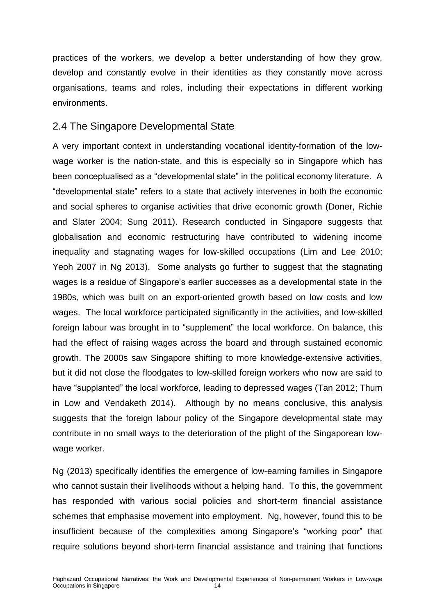practices of the workers, we develop a better understanding of how they grow, develop and constantly evolve in their identities as they constantly move across organisations, teams and roles, including their expectations in different working environments.

#### <span id="page-25-0"></span>2.4 The Singapore Developmental State

A very important context in understanding vocational identity-formation of the lowwage worker is the nation-state, and this is especially so in Singapore which has been conceptualised as a "developmental state" in the political economy literature. A "developmental state" refers to a state that actively intervenes in both the economic and social spheres to organise activities that drive economic growth (Doner, Richie and Slater 2004; Sung 2011). Research conducted in Singapore suggests that globalisation and economic restructuring have contributed to widening income inequality and stagnating wages for low-skilled occupations (Lim and Lee 2010; Yeoh 2007 in Ng 2013). Some analysts go further to suggest that the stagnating wages is a residue of Singapore's earlier successes as a developmental state in the 1980s, which was built on an export-oriented growth based on low costs and low wages. The local workforce participated significantly in the activities, and low-skilled foreign labour was brought in to "supplement" the local workforce. On balance, this had the effect of raising wages across the board and through sustained economic growth. The 2000s saw Singapore shifting to more knowledge-extensive activities, but it did not close the floodgates to low-skilled foreign workers who now are said to have "supplanted" the local workforce, leading to depressed wages (Tan 2012; Thum in Low and Vendaketh 2014). Although by no means conclusive, this analysis suggests that the foreign labour policy of the Singapore developmental state may contribute in no small ways to the deterioration of the plight of the Singaporean lowwage worker.

Ng (2013) specifically identifies the emergence of low-earning families in Singapore who cannot sustain their livelihoods without a helping hand. To this, the government has responded with various social policies and short-term financial assistance schemes that emphasise movement into employment. Ng, however, found this to be insufficient because of the complexities among Singapore's "working poor" that require solutions beyond short-term financial assistance and training that functions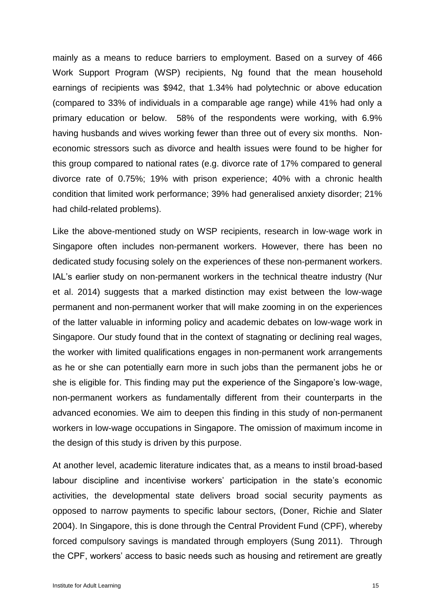mainly as a means to reduce barriers to employment. Based on a survey of 466 Work Support Program (WSP) recipients, Ng found that the mean household earnings of recipients was \$942, that 1.34% had polytechnic or above education (compared to 33% of individuals in a comparable age range) while 41% had only a primary education or below. 58% of the respondents were working, with 6.9% having husbands and wives working fewer than three out of every six months. Noneconomic stressors such as divorce and health issues were found to be higher for this group compared to national rates (e.g. divorce rate of 17% compared to general divorce rate of 0.75%; 19% with prison experience; 40% with a chronic health condition that limited work performance; 39% had generalised anxiety disorder; 21% had child-related problems).

Like the above-mentioned study on WSP recipients, research in low-wage work in Singapore often includes non-permanent workers. However, there has been no dedicated study focusing solely on the experiences of these non-permanent workers. IAL's earlier study on non-permanent workers in the technical theatre industry (Nur et al. 2014) suggests that a marked distinction may exist between the low-wage permanent and non-permanent worker that will make zooming in on the experiences of the latter valuable in informing policy and academic debates on low-wage work in Singapore. Our study found that in the context of stagnating or declining real wages, the worker with limited qualifications engages in non-permanent work arrangements as he or she can potentially earn more in such jobs than the permanent jobs he or she is eligible for. This finding may put the experience of the Singapore's low-wage, non-permanent workers as fundamentally different from their counterparts in the advanced economies. We aim to deepen this finding in this study of non-permanent workers in low-wage occupations in Singapore. The omission of maximum income in the design of this study is driven by this purpose.

At another level, academic literature indicates that, as a means to instil broad-based labour discipline and incentivise workers' participation in the state's economic activities, the developmental state delivers broad social security payments as opposed to narrow payments to specific labour sectors, (Doner, Richie and Slater 2004). In Singapore, this is done through the Central Provident Fund (CPF), whereby forced compulsory savings is mandated through employers (Sung 2011). Through the CPF, workers' access to basic needs such as housing and retirement are greatly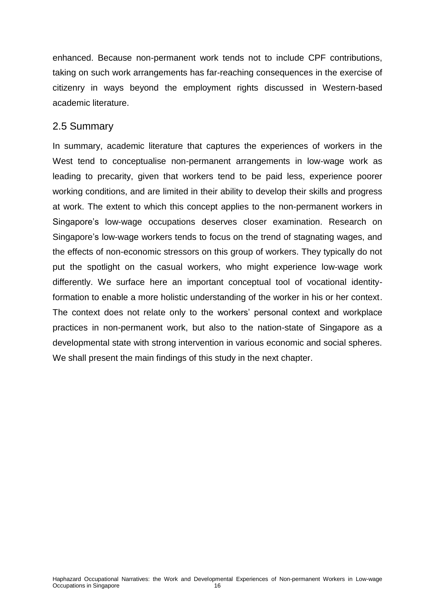enhanced. Because non-permanent work tends not to include CPF contributions, taking on such work arrangements has far-reaching consequences in the exercise of citizenry in ways beyond the employment rights discussed in Western-based academic literature.

#### <span id="page-27-0"></span>2.5 Summary

In summary, academic literature that captures the experiences of workers in the West tend to conceptualise non-permanent arrangements in low-wage work as leading to precarity, given that workers tend to be paid less, experience poorer working conditions, and are limited in their ability to develop their skills and progress at work. The extent to which this concept applies to the non-permanent workers in Singapore's low-wage occupations deserves closer examination. Research on Singapore's low-wage workers tends to focus on the trend of stagnating wages, and the effects of non-economic stressors on this group of workers. They typically do not put the spotlight on the casual workers, who might experience low-wage work differently. We surface here an important conceptual tool of vocational identityformation to enable a more holistic understanding of the worker in his or her context. The context does not relate only to the workers' personal context and workplace practices in non-permanent work, but also to the nation-state of Singapore as a developmental state with strong intervention in various economic and social spheres. We shall present the main findings of this study in the next chapter.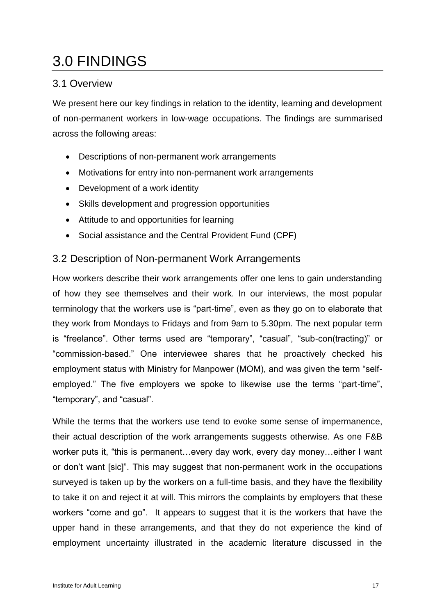## <span id="page-28-0"></span>3.0 FINDINGS

### <span id="page-28-1"></span>3.1 Overview

We present here our key findings in relation to the identity, learning and development of non-permanent workers in low-wage occupations. The findings are summarised across the following areas:

- Descriptions of non-permanent work arrangements
- Motivations for entry into non-permanent work arrangements
- Development of a work identity
- Skills development and progression opportunities
- Attitude to and opportunities for learning
- Social assistance and the Central Provident Fund (CPF)

### <span id="page-28-2"></span>3.2 Description of Non-permanent Work Arrangements

How workers describe their work arrangements offer one lens to gain understanding of how they see themselves and their work. In our interviews, the most popular terminology that the workers use is "part-time", even as they go on to elaborate that they work from Mondays to Fridays and from 9am to 5.30pm. The next popular term is "freelance". Other terms used are "temporary", "casual", "sub-con(tracting)" or "commission-based." One interviewee shares that he proactively checked his employment status with Ministry for Manpower (MOM), and was given the term "selfemployed." The five employers we spoke to likewise use the terms "part-time", "temporary", and "casual".

While the terms that the workers use tend to evoke some sense of impermanence, their actual description of the work arrangements suggests otherwise. As one F&B worker puts it, "this is permanent…every day work, every day money…either I want or don't want [sic]". This may suggest that non-permanent work in the occupations surveyed is taken up by the workers on a full-time basis, and they have the flexibility to take it on and reject it at will. This mirrors the complaints by employers that these workers "come and go". It appears to suggest that it is the workers that have the upper hand in these arrangements, and that they do not experience the kind of employment uncertainty illustrated in the academic literature discussed in the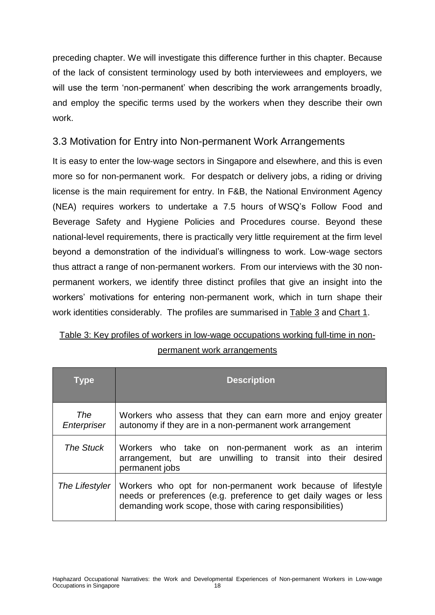preceding chapter. We will investigate this difference further in this chapter. Because of the lack of consistent terminology used by both interviewees and employers, we will use the term 'non-permanent' when describing the work arrangements broadly, and employ the specific terms used by the workers when they describe their own work.

## <span id="page-29-0"></span>3.3 Motivation for Entry into Non-permanent Work Arrangements

It is easy to enter the low-wage sectors in Singapore and elsewhere, and this is even more so for non-permanent work. For despatch or delivery jobs, a riding or driving license is the main requirement for entry. In F&B, the National Environment Agency (NEA) requires workers to undertake a 7.5 hours of WSQ's Follow Food and Beverage Safety and Hygiene Policies and Procedures course. Beyond these national-level requirements, there is practically very little requirement at the firm level beyond a demonstration of the individual's willingness to work. Low-wage sectors thus attract a range of non-permanent workers. From our interviews with the 30 nonpermanent workers, we identify three distinct profiles that give an insight into the workers' motivations for entering non-permanent work, which in turn shape their work identities considerably. The profiles are summarised in Table 3 and Chart 1.

## Table 3: Key profiles of workers in low-wage occupations working full-time in nonpermanent work arrangements

| <b>Type</b>        | <b>Description</b>                                                                                                                                                                           |
|--------------------|----------------------------------------------------------------------------------------------------------------------------------------------------------------------------------------------|
| The<br>Enterpriser | Workers who assess that they can earn more and enjoy greater<br>autonomy if they are in a non-permanent work arrangement                                                                     |
| The Stuck          | Workers who take on non-permanent work as an interim<br>arrangement, but are unwilling to transit into their desired<br>permanent jobs                                                       |
| The Lifestyler     | Workers who opt for non-permanent work because of lifestyle<br>needs or preferences (e.g. preference to get daily wages or less<br>demanding work scope, those with caring responsibilities) |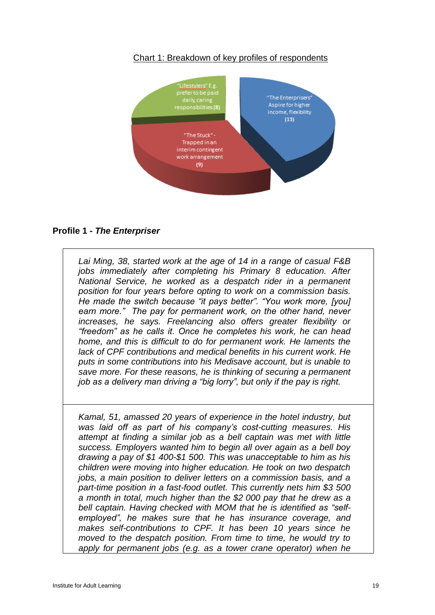#### Chart 1: Breakdown of key profiles of respondents



#### **Profile 1 -** *The Enterpriser*

*Lai Ming, 38, started work at the age of 14 in a range of casual F&B jobs immediately after completing his Primary 8 education. After National Service, he worked as a despatch rider in a permanent position for four years before opting to work on a commission basis. He made the switch because "it pays better". "You work more, [you] earn more." The pay for permanent work, on the other hand, never increases, he says. Freelancing also offers greater flexibility or "freedom" as he calls it. Once he completes his work, he can head home, and this is difficult to do for permanent work. He laments the lack of CPF contributions and medical benefits in his current work. He puts in some contributions into his Medisave account, but is unable to save more. For these reasons, he is thinking of securing a permanent job as a delivery man driving a "big lorry", but only if the pay is right.*

*Kamal, 51, amassed 20 years of experience in the hotel industry, but was laid off as part of his company's cost-cutting measures. His attempt at finding a similar job as a bell captain was met with little success. Employers wanted him to begin all over again as a bell boy drawing a pay of \$1 400-\$1 500. This was unacceptable to him as his children were moving into higher education. He took on two despatch jobs, a main position to deliver letters on a commission basis, and a part-time position in a fast-food outlet. This currently nets him \$3 500 a month in total, much higher than the \$2 000 pay that he drew as a bell captain. Having checked with MOM that he is identified as "selfemployed", he makes sure that he has insurance coverage, and makes self-contributions to CPF. It has been 10 years since he moved to the despatch position. From time to time, he would try to apply for permanent jobs (e.g. as a tower crane operator) when he*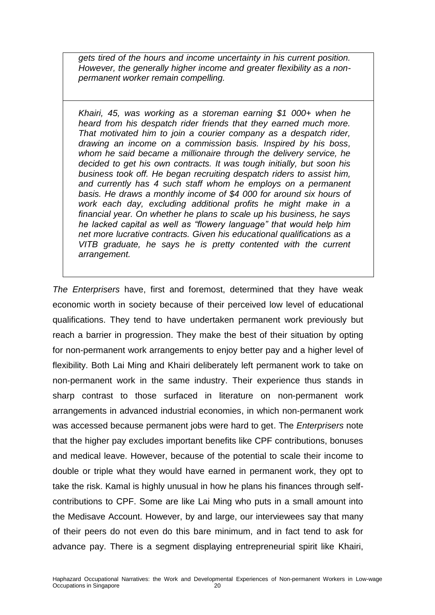*gets tired of the hours and income uncertainty in his current position. However, the generally higher income and greater flexibility as a nonpermanent worker remain compelling.*

*Khairi, 45, was working as a storeman earning \$1 000+ when he heard from his despatch rider friends that they earned much more. That motivated him to join a courier company as a despatch rider, drawing an income on a commission basis. Inspired by his boss, whom he said became a millionaire through the delivery service, he decided to get his own contracts. It was tough initially, but soon his business took off. He began recruiting despatch riders to assist him, and currently has 4 such staff whom he employs on a permanent basis. He draws a monthly income of \$4 000 for around six hours of work each day, excluding additional profits he might make in a financial year. On whether he plans to scale up his business, he says he lacked capital as well as "flowery language" that would help him net more lucrative contracts. Given his educational qualifications as a VITB graduate, he says he is pretty contented with the current arrangement.*

*The Enterprisers* have, first and foremost, determined that they have weak economic worth in society because of their perceived low level of educational qualifications. They tend to have undertaken permanent work previously but reach a barrier in progression. They make the best of their situation by opting for non-permanent work arrangements to enjoy better pay and a higher level of flexibility. Both Lai Ming and Khairi deliberately left permanent work to take on non-permanent work in the same industry. Their experience thus stands in sharp contrast to those surfaced in literature on non-permanent work arrangements in advanced industrial economies, in which non-permanent work was accessed because permanent jobs were hard to get. The *Enterprisers* note that the higher pay excludes important benefits like CPF contributions, bonuses and medical leave. However, because of the potential to scale their income to double or triple what they would have earned in permanent work, they opt to take the risk. Kamal is highly unusual in how he plans his finances through selfcontributions to CPF. Some are like Lai Ming who puts in a small amount into the Medisave Account. However, by and large, our interviewees say that many of their peers do not even do this bare minimum, and in fact tend to ask for advance pay. There is a segment displaying entrepreneurial spirit like Khairi,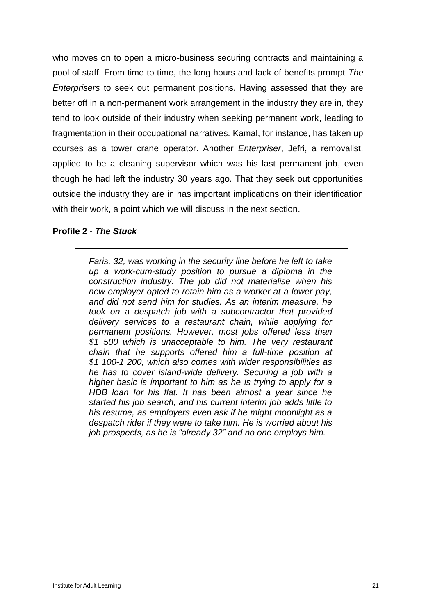who moves on to open a micro-business securing contracts and maintaining a pool of staff. From time to time, the long hours and lack of benefits prompt *The Enterprisers* to seek out permanent positions. Having assessed that they are better off in a non-permanent work arrangement in the industry they are in, they tend to look outside of their industry when seeking permanent work, leading to fragmentation in their occupational narratives. Kamal, for instance, has taken up courses as a tower crane operator. Another *Enterpriser*, Jefri, a removalist, applied to be a cleaning supervisor which was his last permanent job, even though he had left the industry 30 years ago. That they seek out opportunities outside the industry they are in has important implications on their identification with their work, a point which we will discuss in the next section.

#### **Profile 2 -** *The Stuck*

*Faris, 32, was working in the security line before he left to take up a work-cum-study position to pursue a diploma in the construction industry. The job did not materialise when his new employer opted to retain him as a worker at a lower pay, and did not send him for studies. As an interim measure, he took on a despatch job with a subcontractor that provided delivery services to a restaurant chain, while applying for permanent positions. However, most jobs offered less than \$1 500 which is unacceptable to him. The very restaurant chain that he supports offered him a full-time position at \$1 100-1 200, which also comes with wider responsibilities as he has to cover island-wide delivery. Securing a job with a higher basic is important to him as he is trying to apply for a HDB loan for his flat. It has been almost a year since he started his job search, and his current interim job adds little to his resume, as employers even ask if he might moonlight as a despatch rider if they were to take him. He is worried about his job prospects, as he is "already 32" and no one employs him.*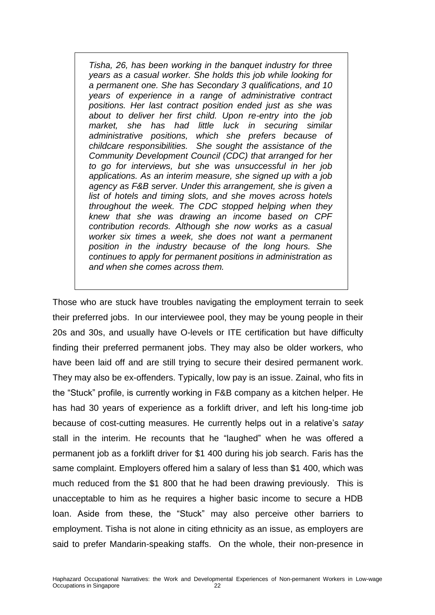*Tisha, 26, has been working in the banquet industry for three years as a casual worker. She holds this job while looking for a permanent one. She has Secondary 3 qualifications, and 10 years of experience in a range of administrative contract positions. Her last contract position ended just as she was about to deliver her first child. Upon re-entry into the job market, she has had little luck in securing similar administrative positions, which she prefers because of childcare responsibilities. She sought the assistance of the Community Development Council (CDC) that arranged for her to go for interviews, but she was unsuccessful in her job applications. As an interim measure, she signed up with a job agency as F&B server. Under this arrangement, she is given a list of hotels and timing slots, and she moves across hotels throughout the week. The CDC stopped helping when they knew that she was drawing an income based on CPF contribution records. Although she now works as a casual worker six times a week, she does not want a permanent position in the industry because of the long hours. She continues to apply for permanent positions in administration as and when she comes across them.* 

Those who are stuck have troubles navigating the employment terrain to seek their preferred jobs. In our interviewee pool, they may be young people in their 20s and 30s, and usually have O-levels or ITE certification but have difficulty finding their preferred permanent jobs. They may also be older workers, who have been laid off and are still trying to secure their desired permanent work. They may also be ex-offenders. Typically, low pay is an issue. Zainal, who fits in the "Stuck" profile, is currently working in F&B company as a kitchen helper. He has had 30 years of experience as a forklift driver, and left his long-time job because of cost-cutting measures. He currently helps out in a relative's *satay* stall in the interim. He recounts that he "laughed" when he was offered a permanent job as a forklift driver for \$1 400 during his job search. Faris has the same complaint. Employers offered him a salary of less than \$1 400, which was much reduced from the \$1 800 that he had been drawing previously. This is unacceptable to him as he requires a higher basic income to secure a HDB loan. Aside from these, the "Stuck" may also perceive other barriers to employment. Tisha is not alone in citing ethnicity as an issue, as employers are said to prefer Mandarin-speaking staffs. On the whole, their non-presence in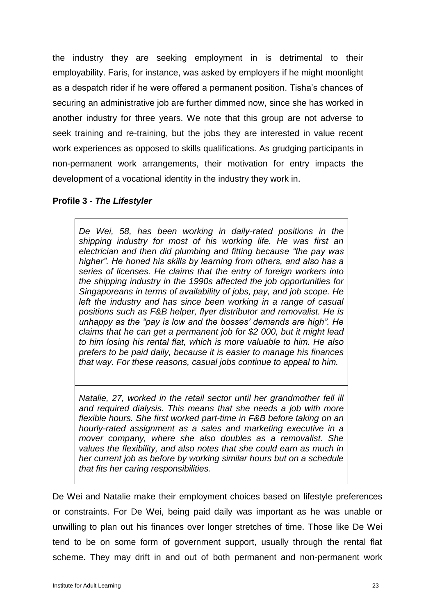the industry they are seeking employment in is detrimental to their employability. Faris, for instance, was asked by employers if he might moonlight as a despatch rider if he were offered a permanent position. Tisha's chances of securing an administrative job are further dimmed now, since she has worked in another industry for three years. We note that this group are not adverse to seek training and re-training, but the jobs they are interested in value recent work experiences as opposed to skills qualifications. As grudging participants in non-permanent work arrangements, their motivation for entry impacts the development of a vocational identity in the industry they work in.

#### **Profile 3 -** *The Lifestyler*

*De Wei, 58, has been working in daily-rated positions in the shipping industry for most of his working life. He was first an electrician and then did plumbing and fitting because "the pay was higher". He honed his skills by learning from others, and also has a series of licenses. He claims that the entry of foreign workers into the shipping industry in the 1990s affected the job opportunities for Singaporeans in terms of availability of jobs, pay, and job scope. He left the industry and has since been working in a range of casual positions such as F&B helper, flyer distributor and removalist. He is unhappy as the "pay is low and the bosses' demands are high". He claims that he can get a permanent job for \$2 000, but it might lead to him losing his rental flat, which is more valuable to him. He also prefers to be paid daily, because it is easier to manage his finances that way. For these reasons, casual jobs continue to appeal to him.* 

*Natalie, 27, worked in the retail sector until her grandmother fell ill and required dialysis. This means that she needs a job with more flexible hours. She first worked part-time in F&B before taking on an hourly-rated assignment as a sales and marketing executive in a mover company, where she also doubles as a removalist. She values the flexibility, and also notes that she could earn as much in her current job as before by working similar hours but on a schedule that fits her caring responsibilities.*

De Wei and Natalie make their employment choices based on lifestyle preferences or constraints. For De Wei, being paid daily was important as he was unable or unwilling to plan out his finances over longer stretches of time. Those like De Wei tend to be on some form of government support, usually through the rental flat scheme. They may drift in and out of both permanent and non-permanent work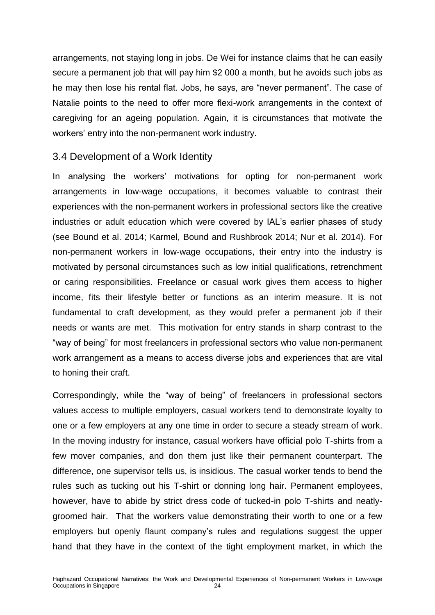arrangements, not staying long in jobs. De Wei for instance claims that he can easily secure a permanent job that will pay him \$2 000 a month, but he avoids such jobs as he may then lose his rental flat. Jobs, he says, are "never permanent". The case of Natalie points to the need to offer more flexi-work arrangements in the context of caregiving for an ageing population. Again, it is circumstances that motivate the workers' entry into the non-permanent work industry.

#### <span id="page-35-0"></span>3.4 Development of a Work Identity

In analysing the workers' motivations for opting for non-permanent work arrangements in low-wage occupations, it becomes valuable to contrast their experiences with the non-permanent workers in professional sectors like the creative industries or adult education which were covered by IAL's earlier phases of study (see Bound et al. 2014; Karmel, Bound and Rushbrook 2014; Nur et al. 2014). For non-permanent workers in low-wage occupations, their entry into the industry is motivated by personal circumstances such as low initial qualifications, retrenchment or caring responsibilities. Freelance or casual work gives them access to higher income, fits their lifestyle better or functions as an interim measure. It is not fundamental to craft development, as they would prefer a permanent job if their needs or wants are met. This motivation for entry stands in sharp contrast to the "way of being" for most freelancers in professional sectors who value non-permanent work arrangement as a means to access diverse jobs and experiences that are vital to honing their craft.

Correspondingly, while the "way of being" of freelancers in professional sectors values access to multiple employers, casual workers tend to demonstrate loyalty to one or a few employers at any one time in order to secure a steady stream of work. In the moving industry for instance, casual workers have official polo T-shirts from a few mover companies, and don them just like their permanent counterpart. The difference, one supervisor tells us, is insidious. The casual worker tends to bend the rules such as tucking out his T-shirt or donning long hair. Permanent employees, however, have to abide by strict dress code of tucked-in polo T-shirts and neatlygroomed hair. That the workers value demonstrating their worth to one or a few employers but openly flaunt company's rules and regulations suggest the upper hand that they have in the context of the tight employment market, in which the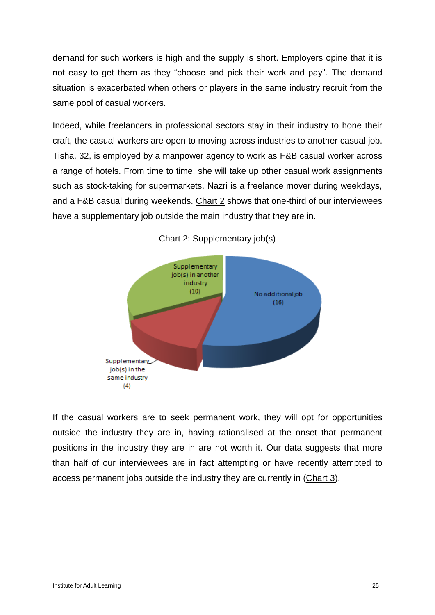demand for such workers is high and the supply is short. Employers opine that it is not easy to get them as they "choose and pick their work and pay". The demand situation is exacerbated when others or players in the same industry recruit from the same pool of casual workers.

Indeed, while freelancers in professional sectors stay in their industry to hone their craft, the casual workers are open to moving across industries to another casual job. Tisha, 32, is employed by a manpower agency to work as F&B casual worker across a range of hotels. From time to time, she will take up other casual work assignments such as stock-taking for supermarkets. Nazri is a freelance mover during weekdays, and a F&B casual during weekends. Chart 2 shows that one-third of our interviewees have a supplementary job outside the main industry that they are in.



Chart 2: Supplementary job(s)

If the casual workers are to seek permanent work, they will opt for opportunities outside the industry they are in, having rationalised at the onset that permanent positions in the industry they are in are not worth it. Our data suggests that more than half of our interviewees are in fact attempting or have recently attempted to access permanent jobs outside the industry they are currently in (Chart 3).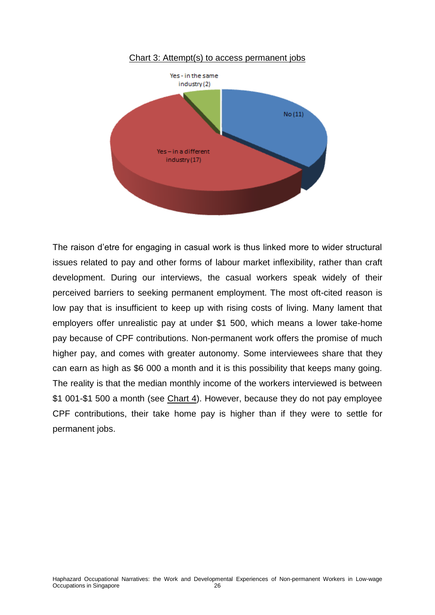

Chart 3: Attempt(s) to access permanent jobs

The raison d'etre for engaging in casual work is thus linked more to wider structural issues related to pay and other forms of labour market inflexibility, rather than craft development. During our interviews, the casual workers speak widely of their perceived barriers to seeking permanent employment. The most oft-cited reason is low pay that is insufficient to keep up with rising costs of living. Many lament that employers offer unrealistic pay at under \$1 500, which means a lower take-home pay because of CPF contributions. Non-permanent work offers the promise of much higher pay, and comes with greater autonomy. Some interviewees share that they can earn as high as \$6 000 a month and it is this possibility that keeps many going. The reality is that the median monthly income of the workers interviewed is between \$1 001-\$1 500 a month (see Chart 4). However, because they do not pay employee CPF contributions, their take home pay is higher than if they were to settle for permanent jobs.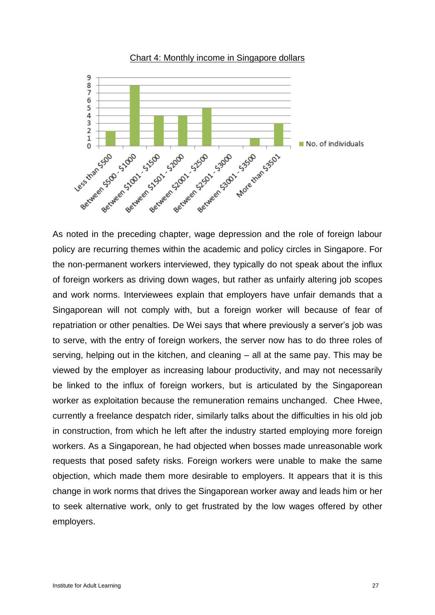

Chart 4: Monthly income in Singapore dollars

As noted in the preceding chapter, wage depression and the role of foreign labour policy are recurring themes within the academic and policy circles in Singapore. For the non-permanent workers interviewed, they typically do not speak about the influx of foreign workers as driving down wages, but rather as unfairly altering job scopes and work norms. Interviewees explain that employers have unfair demands that a Singaporean will not comply with, but a foreign worker will because of fear of repatriation or other penalties. De Wei says that where previously a server's job was to serve, with the entry of foreign workers, the server now has to do three roles of serving, helping out in the kitchen, and cleaning – all at the same pay. This may be viewed by the employer as increasing labour productivity, and may not necessarily be linked to the influx of foreign workers, but is articulated by the Singaporean worker as exploitation because the remuneration remains unchanged. Chee Hwee, currently a freelance despatch rider, similarly talks about the difficulties in his old job in construction, from which he left after the industry started employing more foreign workers. As a Singaporean, he had objected when bosses made unreasonable work requests that posed safety risks. Foreign workers were unable to make the same objection, which made them more desirable to employers. It appears that it is this change in work norms that drives the Singaporean worker away and leads him or her to seek alternative work, only to get frustrated by the low wages offered by other employers.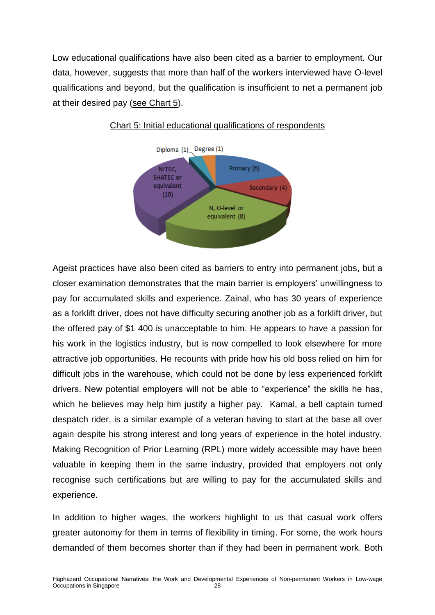Low educational qualifications have also been cited as a barrier to employment. Our data, however, suggests that more than half of the workers interviewed have O-level qualifications and beyond, but the qualification is insufficient to net a permanent job at their desired pay (see Chart 5).



Chart 5: Initial educational qualifications of respondents

Ageist practices have also been cited as barriers to entry into permanent jobs, but a closer examination demonstrates that the main barrier is employers' unwillingness to pay for accumulated skills and experience. Zainal, who has 30 years of experience as a forklift driver, does not have difficulty securing another job as a forklift driver, but the offered pay of \$1 400 is unacceptable to him. He appears to have a passion for his work in the logistics industry, but is now compelled to look elsewhere for more attractive job opportunities. He recounts with pride how his old boss relied on him for difficult jobs in the warehouse, which could not be done by less experienced forklift drivers. New potential employers will not be able to "experience" the skills he has, which he believes may help him justify a higher pay. Kamal, a bell captain turned despatch rider, is a similar example of a veteran having to start at the base all over again despite his strong interest and long years of experience in the hotel industry. Making Recognition of Prior Learning (RPL) more widely accessible may have been valuable in keeping them in the same industry, provided that employers not only recognise such certifications but are willing to pay for the accumulated skills and experience.

In addition to higher wages, the workers highlight to us that casual work offers greater autonomy for them in terms of flexibility in timing. For some, the work hours demanded of them becomes shorter than if they had been in permanent work. Both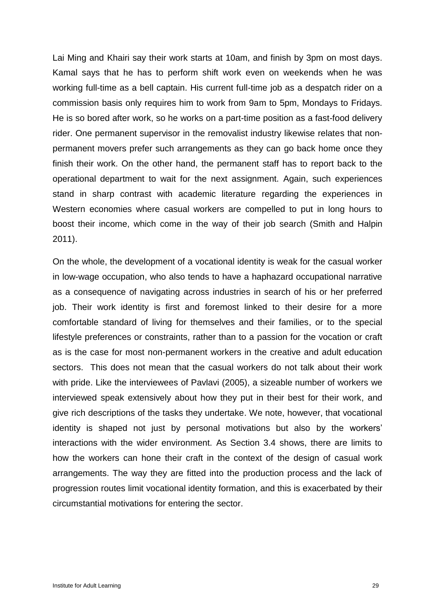Lai Ming and Khairi say their work starts at 10am, and finish by 3pm on most days. Kamal says that he has to perform shift work even on weekends when he was working full-time as a bell captain. His current full-time job as a despatch rider on a commission basis only requires him to work from 9am to 5pm, Mondays to Fridays. He is so bored after work, so he works on a part-time position as a fast-food delivery rider. One permanent supervisor in the removalist industry likewise relates that nonpermanent movers prefer such arrangements as they can go back home once they finish their work. On the other hand, the permanent staff has to report back to the operational department to wait for the next assignment. Again, such experiences stand in sharp contrast with academic literature regarding the experiences in Western economies where casual workers are compelled to put in long hours to boost their income, which come in the way of their job search (Smith and Halpin 2011).

On the whole, the development of a vocational identity is weak for the casual worker in low-wage occupation, who also tends to have a haphazard occupational narrative as a consequence of navigating across industries in search of his or her preferred job. Their work identity is first and foremost linked to their desire for a more comfortable standard of living for themselves and their families, or to the special lifestyle preferences or constraints, rather than to a passion for the vocation or craft as is the case for most non-permanent workers in the creative and adult education sectors. This does not mean that the casual workers do not talk about their work with pride. Like the interviewees of Pavlavi (2005), a sizeable number of workers we interviewed speak extensively about how they put in their best for their work, and give rich descriptions of the tasks they undertake. We note, however, that vocational identity is shaped not just by personal motivations but also by the workers' interactions with the wider environment. As Section 3.4 shows, there are limits to how the workers can hone their craft in the context of the design of casual work arrangements. The way they are fitted into the production process and the lack of progression routes limit vocational identity formation, and this is exacerbated by their circumstantial motivations for entering the sector.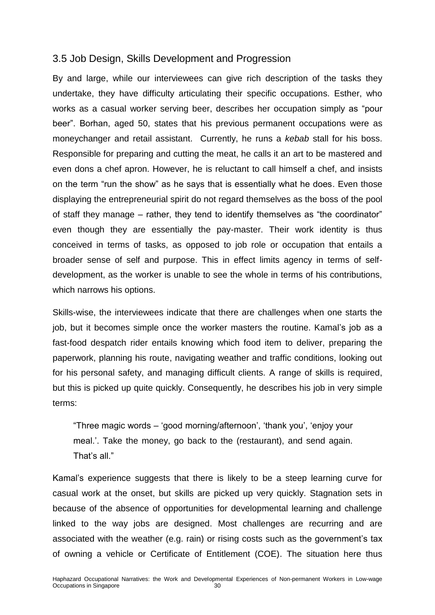#### <span id="page-41-0"></span>3.5 Job Design, Skills Development and Progression

By and large, while our interviewees can give rich description of the tasks they undertake, they have difficulty articulating their specific occupations. Esther, who works as a casual worker serving beer, describes her occupation simply as "pour beer". Borhan, aged 50, states that his previous permanent occupations were as moneychanger and retail assistant. Currently, he runs a *kebab* stall for his boss. Responsible for preparing and cutting the meat, he calls it an art to be mastered and even dons a chef apron. However, he is reluctant to call himself a chef, and insists on the term "run the show" as he says that is essentially what he does. Even those displaying the entrepreneurial spirit do not regard themselves as the boss of the pool of staff they manage – rather, they tend to identify themselves as "the coordinator" even though they are essentially the pay-master. Their work identity is thus conceived in terms of tasks, as opposed to job role or occupation that entails a broader sense of self and purpose. This in effect limits agency in terms of selfdevelopment, as the worker is unable to see the whole in terms of his contributions, which narrows his options.

Skills-wise, the interviewees indicate that there are challenges when one starts the job, but it becomes simple once the worker masters the routine. Kamal's job as a fast-food despatch rider entails knowing which food item to deliver, preparing the paperwork, planning his route, navigating weather and traffic conditions, looking out for his personal safety, and managing difficult clients. A range of skills is required, but this is picked up quite quickly. Consequently, he describes his job in very simple terms:

"Three magic words – 'good morning/afternoon', 'thank you', 'enjoy your meal.'. Take the money, go back to the (restaurant), and send again. That's all."

Kamal's experience suggests that there is likely to be a steep learning curve for casual work at the onset, but skills are picked up very quickly. Stagnation sets in because of the absence of opportunities for developmental learning and challenge linked to the way jobs are designed. Most challenges are recurring and are associated with the weather (e.g. rain) or rising costs such as the government's tax of owning a vehicle or Certificate of Entitlement (COE). The situation here thus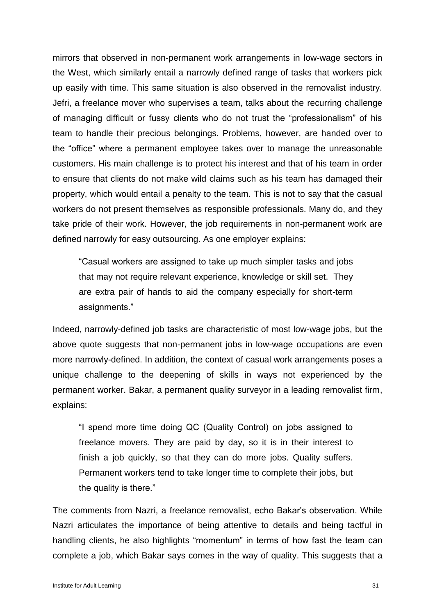mirrors that observed in non-permanent work arrangements in low-wage sectors in the West, which similarly entail a narrowly defined range of tasks that workers pick up easily with time. This same situation is also observed in the removalist industry. Jefri, a freelance mover who supervises a team, talks about the recurring challenge of managing difficult or fussy clients who do not trust the "professionalism" of his team to handle their precious belongings. Problems, however, are handed over to the "office" where a permanent employee takes over to manage the unreasonable customers. His main challenge is to protect his interest and that of his team in order to ensure that clients do not make wild claims such as his team has damaged their property, which would entail a penalty to the team. This is not to say that the casual workers do not present themselves as responsible professionals. Many do, and they take pride of their work. However, the job requirements in non-permanent work are defined narrowly for easy outsourcing. As one employer explains:

"Casual workers are assigned to take up much simpler tasks and jobs that may not require relevant experience, knowledge or skill set. They are extra pair of hands to aid the company especially for short-term assignments."

Indeed, narrowly-defined job tasks are characteristic of most low-wage jobs, but the above quote suggests that non-permanent jobs in low-wage occupations are even more narrowly-defined. In addition, the context of casual work arrangements poses a unique challenge to the deepening of skills in ways not experienced by the permanent worker. Bakar, a permanent quality surveyor in a leading removalist firm, explains:

"I spend more time doing QC (Quality Control) on jobs assigned to freelance movers. They are paid by day, so it is in their interest to finish a job quickly, so that they can do more jobs. Quality suffers. Permanent workers tend to take longer time to complete their jobs, but the quality is there."

The comments from Nazri, a freelance removalist, echo Bakar's observation. While Nazri articulates the importance of being attentive to details and being tactful in handling clients, he also highlights "momentum" in terms of how fast the team can complete a job, which Bakar says comes in the way of quality. This suggests that a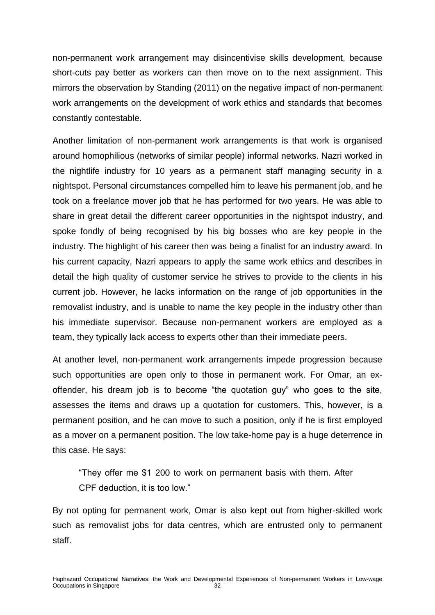non-permanent work arrangement may disincentivise skills development, because short-cuts pay better as workers can then move on to the next assignment. This mirrors the observation by Standing (2011) on the negative impact of non-permanent work arrangements on the development of work ethics and standards that becomes constantly contestable.

Another limitation of non-permanent work arrangements is that work is organised around homophilious (networks of similar people) informal networks. Nazri worked in the nightlife industry for 10 years as a permanent staff managing security in a nightspot. Personal circumstances compelled him to leave his permanent job, and he took on a freelance mover job that he has performed for two years. He was able to share in great detail the different career opportunities in the nightspot industry, and spoke fondly of being recognised by his big bosses who are key people in the industry. The highlight of his career then was being a finalist for an industry award. In his current capacity, Nazri appears to apply the same work ethics and describes in detail the high quality of customer service he strives to provide to the clients in his current job. However, he lacks information on the range of job opportunities in the removalist industry, and is unable to name the key people in the industry other than his immediate supervisor. Because non-permanent workers are employed as a team, they typically lack access to experts other than their immediate peers.

At another level, non-permanent work arrangements impede progression because such opportunities are open only to those in permanent work. For Omar, an exoffender, his dream job is to become "the quotation guy" who goes to the site, assesses the items and draws up a quotation for customers. This, however, is a permanent position, and he can move to such a position, only if he is first employed as a mover on a permanent position. The low take-home pay is a huge deterrence in this case. He says:

"They offer me \$1 200 to work on permanent basis with them. After CPF deduction, it is too low."

By not opting for permanent work, Omar is also kept out from higher-skilled work such as removalist jobs for data centres, which are entrusted only to permanent staff.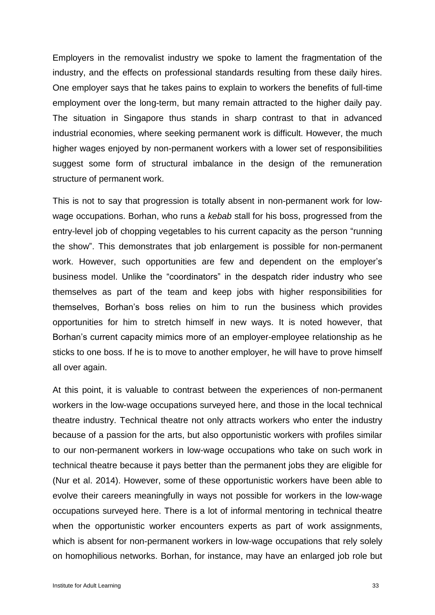Employers in the removalist industry we spoke to lament the fragmentation of the industry, and the effects on professional standards resulting from these daily hires. One employer says that he takes pains to explain to workers the benefits of full-time employment over the long-term, but many remain attracted to the higher daily pay. The situation in Singapore thus stands in sharp contrast to that in advanced industrial economies, where seeking permanent work is difficult. However, the much higher wages enjoyed by non-permanent workers with a lower set of responsibilities suggest some form of structural imbalance in the design of the remuneration structure of permanent work.

This is not to say that progression is totally absent in non-permanent work for lowwage occupations. Borhan, who runs a *kebab* stall for his boss, progressed from the entry-level job of chopping vegetables to his current capacity as the person "running the show". This demonstrates that job enlargement is possible for non-permanent work. However, such opportunities are few and dependent on the employer's business model. Unlike the "coordinators" in the despatch rider industry who see themselves as part of the team and keep jobs with higher responsibilities for themselves, Borhan's boss relies on him to run the business which provides opportunities for him to stretch himself in new ways. It is noted however, that Borhan's current capacity mimics more of an employer-employee relationship as he sticks to one boss. If he is to move to another employer, he will have to prove himself all over again.

At this point, it is valuable to contrast between the experiences of non-permanent workers in the low-wage occupations surveyed here, and those in the local technical theatre industry. Technical theatre not only attracts workers who enter the industry because of a passion for the arts, but also opportunistic workers with profiles similar to our non-permanent workers in low-wage occupations who take on such work in technical theatre because it pays better than the permanent jobs they are eligible for (Nur et al. 2014). However, some of these opportunistic workers have been able to evolve their careers meaningfully in ways not possible for workers in the low-wage occupations surveyed here. There is a lot of informal mentoring in technical theatre when the opportunistic worker encounters experts as part of work assignments, which is absent for non-permanent workers in low-wage occupations that rely solely on homophilious networks. Borhan, for instance, may have an enlarged job role but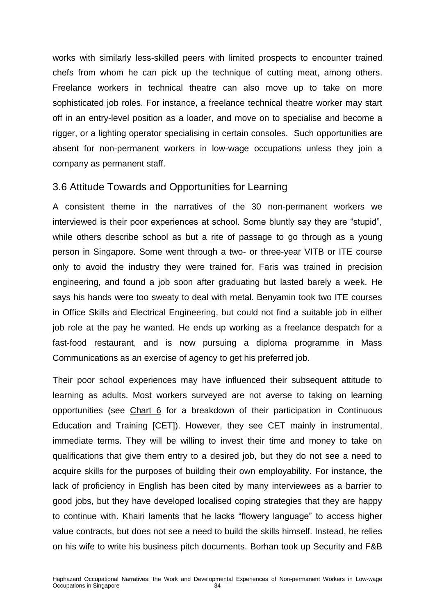works with similarly less-skilled peers with limited prospects to encounter trained chefs from whom he can pick up the technique of cutting meat, among others. Freelance workers in technical theatre can also move up to take on more sophisticated job roles. For instance, a freelance technical theatre worker may start off in an entry-level position as a loader, and move on to specialise and become a rigger, or a lighting operator specialising in certain consoles. Such opportunities are absent for non-permanent workers in low-wage occupations unless they join a company as permanent staff.

#### <span id="page-45-0"></span>3.6 Attitude Towards and Opportunities for Learning

A consistent theme in the narratives of the 30 non-permanent workers we interviewed is their poor experiences at school. Some bluntly say they are "stupid", while others describe school as but a rite of passage to go through as a young person in Singapore. Some went through a two- or three-year VITB or ITE course only to avoid the industry they were trained for. Faris was trained in precision engineering, and found a job soon after graduating but lasted barely a week. He says his hands were too sweaty to deal with metal. Benyamin took two ITE courses in Office Skills and Electrical Engineering, but could not find a suitable job in either job role at the pay he wanted. He ends up working as a freelance despatch for a fast-food restaurant, and is now pursuing a diploma programme in Mass Communications as an exercise of agency to get his preferred job.

Their poor school experiences may have influenced their subsequent attitude to learning as adults. Most workers surveyed are not averse to taking on learning opportunities (see Chart 6 for a breakdown of their participation in Continuous Education and Training [CET]). However, they see CET mainly in instrumental, immediate terms. They will be willing to invest their time and money to take on qualifications that give them entry to a desired job, but they do not see a need to acquire skills for the purposes of building their own employability. For instance, the lack of proficiency in English has been cited by many interviewees as a barrier to good jobs, but they have developed localised coping strategies that they are happy to continue with. Khairi laments that he lacks "flowery language" to access higher value contracts, but does not see a need to build the skills himself. Instead, he relies on his wife to write his business pitch documents. Borhan took up Security and F&B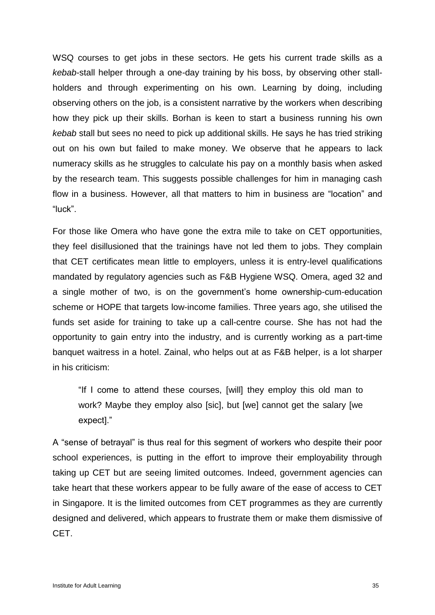WSQ courses to get jobs in these sectors. He gets his current trade skills as a *kebab*-stall helper through a one-day training by his boss, by observing other stallholders and through experimenting on his own. Learning by doing, including observing others on the job, is a consistent narrative by the workers when describing how they pick up their skills. Borhan is keen to start a business running his own *kebab* stall but sees no need to pick up additional skills. He says he has tried striking out on his own but failed to make money. We observe that he appears to lack numeracy skills as he struggles to calculate his pay on a monthly basis when asked by the research team. This suggests possible challenges for him in managing cash flow in a business. However, all that matters to him in business are "location" and "luck".

For those like Omera who have gone the extra mile to take on CET opportunities, they feel disillusioned that the trainings have not led them to jobs. They complain that CET certificates mean little to employers, unless it is entry-level qualifications mandated by regulatory agencies such as F&B Hygiene WSQ. Omera, aged 32 and a single mother of two, is on the government's home ownership-cum-education scheme or HOPE that targets low-income families. Three years ago, she utilised the funds set aside for training to take up a call-centre course. She has not had the opportunity to gain entry into the industry, and is currently working as a part-time banquet waitress in a hotel. Zainal, who helps out at as F&B helper, is a lot sharper in his criticism:

"If I come to attend these courses, [will] they employ this old man to work? Maybe they employ also [sic], but [we] cannot get the salary [we expect]."

A "sense of betrayal" is thus real for this segment of workers who despite their poor school experiences, is putting in the effort to improve their employability through taking up CET but are seeing limited outcomes. Indeed, government agencies can take heart that these workers appear to be fully aware of the ease of access to CET in Singapore. It is the limited outcomes from CET programmes as they are currently designed and delivered, which appears to frustrate them or make them dismissive of CET.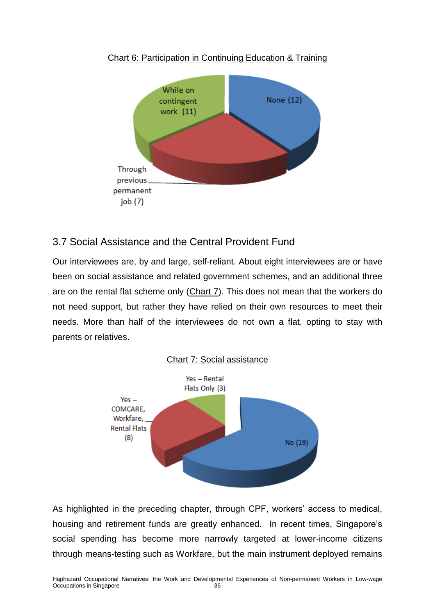

#### Chart 6: Participation in Continuing Education & Training

### <span id="page-47-0"></span>3.7 Social Assistance and the Central Provident Fund

Our interviewees are, by and large, self-reliant. About eight interviewees are or have been on social assistance and related government schemes, and an additional three are on the rental flat scheme only (Chart 7). This does not mean that the workers do not need support, but rather they have relied on their own resources to meet their needs. More than half of the interviewees do not own a flat, opting to stay with parents or relatives.



As highlighted in the preceding chapter, through CPF, workers' access to medical, housing and retirement funds are greatly enhanced. In recent times, Singapore's social spending has become more narrowly targeted at lower-income citizens through means-testing such as Workfare, but the main instrument deployed remains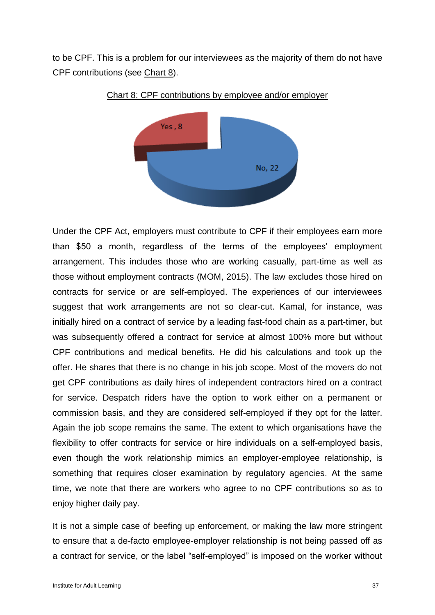to be CPF. This is a problem for our interviewees as the majority of them do not have CPF contributions (see Chart 8).





Under the CPF Act, employers must contribute to CPF if their employees earn more than \$50 a month, regardless of the terms of the employees' employment arrangement. This includes those who are working casually, part-time as well as those without employment contracts (MOM, 2015). The law excludes those hired on contracts for service or are self-employed. The experiences of our interviewees suggest that work arrangements are not so clear-cut. Kamal, for instance, was initially hired on a contract of service by a leading fast-food chain as a part-timer, but was subsequently offered a contract for service at almost 100% more but without CPF contributions and medical benefits. He did his calculations and took up the offer. He shares that there is no change in his job scope. Most of the movers do not get CPF contributions as daily hires of independent contractors hired on a contract for service. Despatch riders have the option to work either on a permanent or commission basis, and they are considered self-employed if they opt for the latter. Again the job scope remains the same. The extent to which organisations have the flexibility to offer contracts for service or hire individuals on a self-employed basis, even though the work relationship mimics an employer-employee relationship, is something that requires closer examination by regulatory agencies. At the same time, we note that there are workers who agree to no CPF contributions so as to enjoy higher daily pay.

It is not a simple case of beefing up enforcement, or making the law more stringent to ensure that a de-facto employee-employer relationship is not being passed off as a contract for service, or the label "self-employed" is imposed on the worker without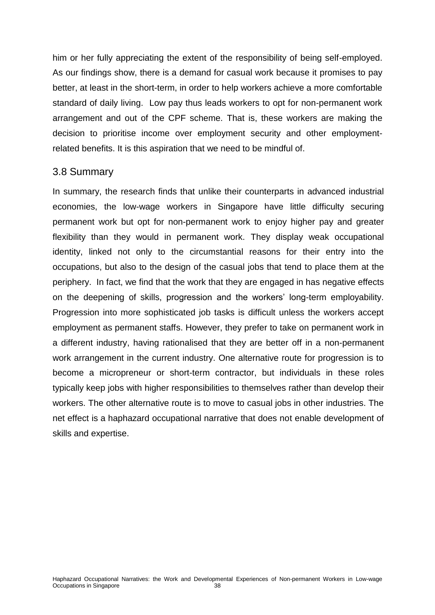him or her fully appreciating the extent of the responsibility of being self-employed. As our findings show, there is a demand for casual work because it promises to pay better, at least in the short-term, in order to help workers achieve a more comfortable standard of daily living. Low pay thus leads workers to opt for non-permanent work arrangement and out of the CPF scheme. That is, these workers are making the decision to prioritise income over employment security and other employmentrelated benefits. It is this aspiration that we need to be mindful of.

#### <span id="page-49-0"></span>3.8 Summary

In summary, the research finds that unlike their counterparts in advanced industrial economies, the low-wage workers in Singapore have little difficulty securing permanent work but opt for non-permanent work to enjoy higher pay and greater flexibility than they would in permanent work. They display weak occupational identity, linked not only to the circumstantial reasons for their entry into the occupations, but also to the design of the casual jobs that tend to place them at the periphery. In fact, we find that the work that they are engaged in has negative effects on the deepening of skills, progression and the workers' long-term employability. Progression into more sophisticated job tasks is difficult unless the workers accept employment as permanent staffs. However, they prefer to take on permanent work in a different industry, having rationalised that they are better off in a non-permanent work arrangement in the current industry. One alternative route for progression is to become a micropreneur or short-term contractor, but individuals in these roles typically keep jobs with higher responsibilities to themselves rather than develop their workers. The other alternative route is to move to casual jobs in other industries. The net effect is a haphazard occupational narrative that does not enable development of skills and expertise.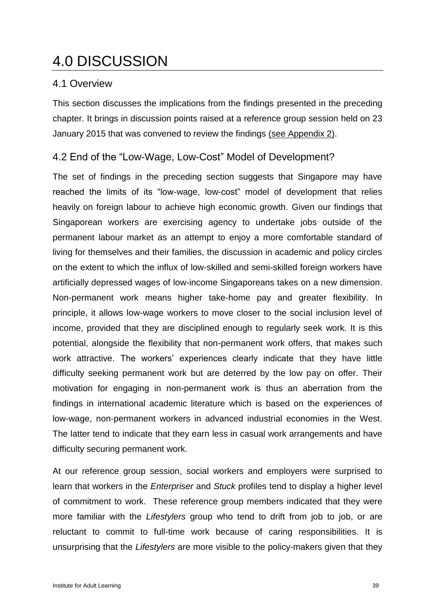## <span id="page-50-0"></span>4.0 DISCUSSION

### <span id="page-50-1"></span>4.1 Overview

This section discusses the implications from the findings presented in the preceding chapter. It brings in discussion points raised at a reference group session held on 23 January 2015 that was convened to review the findings (see Appendix 2).

### <span id="page-50-2"></span>4.2 End of the "Low-Wage, Low-Cost" Model of Development?

The set of findings in the preceding section suggests that Singapore may have reached the limits of its "low-wage, low-cost" model of development that relies heavily on foreign labour to achieve high economic growth. Given our findings that Singaporean workers are exercising agency to undertake jobs outside of the permanent labour market as an attempt to enjoy a more comfortable standard of living for themselves and their families, the discussion in academic and policy circles on the extent to which the influx of low-skilled and semi-skilled foreign workers have artificially depressed wages of low-income Singaporeans takes on a new dimension. Non-permanent work means higher take-home pay and greater flexibility. In principle, it allows low-wage workers to move closer to the social inclusion level of income, provided that they are disciplined enough to regularly seek work. It is this potential, alongside the flexibility that non-permanent work offers, that makes such work attractive. The workers' experiences clearly indicate that they have little difficulty seeking permanent work but are deterred by the low pay on offer. Their motivation for engaging in non-permanent work is thus an aberration from the findings in international academic literature which is based on the experiences of low-wage, non-permanent workers in advanced industrial economies in the West. The latter tend to indicate that they earn less in casual work arrangements and have difficulty securing permanent work.

At our reference group session, social workers and employers were surprised to learn that workers in the *Enterpriser* and *Stuck* profiles tend to display a higher level of commitment to work. These reference group members indicated that they were more familiar with the *Lifestylers* group who tend to drift from job to job, or are reluctant to commit to full-time work because of caring responsibilities. It is unsurprising that the *Lifestylers* are more visible to the policy-makers given that they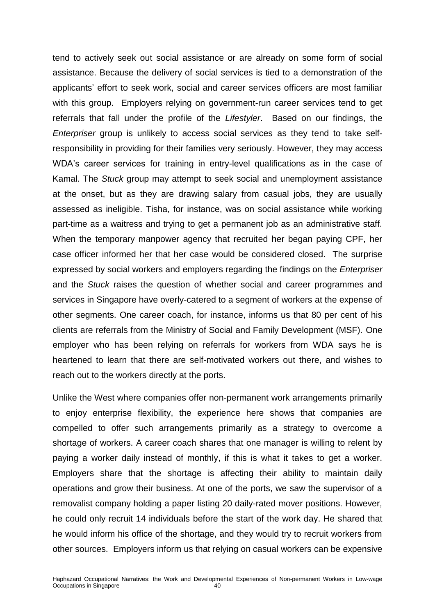tend to actively seek out social assistance or are already on some form of social assistance. Because the delivery of social services is tied to a demonstration of the applicants' effort to seek work, social and career services officers are most familiar with this group. Employers relying on government-run career services tend to get referrals that fall under the profile of the *Lifestyler*. Based on our findings, the *Enterpriser* group is unlikely to access social services as they tend to take selfresponsibility in providing for their families very seriously. However, they may access WDA's career services for training in entry-level qualifications as in the case of Kamal. The *Stuck* group may attempt to seek social and unemployment assistance at the onset, but as they are drawing salary from casual jobs, they are usually assessed as ineligible. Tisha, for instance, was on social assistance while working part-time as a waitress and trying to get a permanent job as an administrative staff. When the temporary manpower agency that recruited her began paying CPF, her case officer informed her that her case would be considered closed. The surprise expressed by social workers and employers regarding the findings on the *Enterpriser*  and the *Stuck* raises the question of whether social and career programmes and services in Singapore have overly-catered to a segment of workers at the expense of other segments. One career coach, for instance, informs us that 80 per cent of his clients are referrals from the Ministry of Social and Family Development (MSF). One employer who has been relying on referrals for workers from WDA says he is heartened to learn that there are self-motivated workers out there, and wishes to reach out to the workers directly at the ports.

Unlike the West where companies offer non-permanent work arrangements primarily to enjoy enterprise flexibility, the experience here shows that companies are compelled to offer such arrangements primarily as a strategy to overcome a shortage of workers. A career coach shares that one manager is willing to relent by paying a worker daily instead of monthly, if this is what it takes to get a worker. Employers share that the shortage is affecting their ability to maintain daily operations and grow their business. At one of the ports, we saw the supervisor of a removalist company holding a paper listing 20 daily-rated mover positions. However, he could only recruit 14 individuals before the start of the work day. He shared that he would inform his office of the shortage, and they would try to recruit workers from other sources. Employers inform us that relying on casual workers can be expensive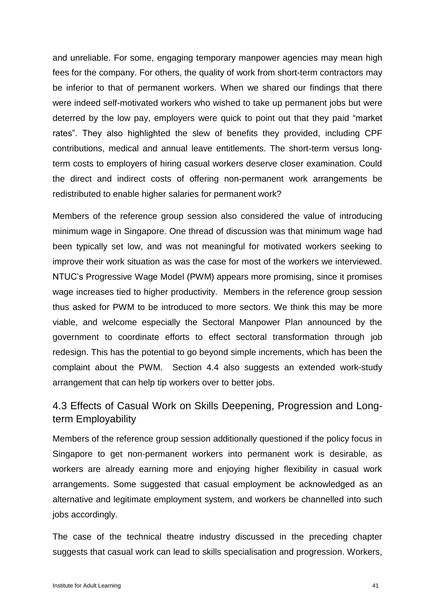and unreliable. For some, engaging temporary manpower agencies may mean high fees for the company. For others, the quality of work from short-term contractors may be inferior to that of permanent workers. When we shared our findings that there were indeed self-motivated workers who wished to take up permanent jobs but were deterred by the low pay, employers were quick to point out that they paid "market rates". They also highlighted the slew of benefits they provided, including CPF contributions, medical and annual leave entitlements. The short-term versus longterm costs to employers of hiring casual workers deserve closer examination. Could the direct and indirect costs of offering non-permanent work arrangements be redistributed to enable higher salaries for permanent work?

Members of the reference group session also considered the value of introducing minimum wage in Singapore. One thread of discussion was that minimum wage had been typically set low, and was not meaningful for motivated workers seeking to improve their work situation as was the case for most of the workers we interviewed. NTUC's Progressive Wage Model (PWM) appears more promising, since it promises wage increases tied to higher productivity. Members in the reference group session thus asked for PWM to be introduced to more sectors. We think this may be more viable, and welcome especially the Sectoral Manpower Plan announced by the government to coordinate efforts to effect sectoral transformation through job redesign. This has the potential to go beyond simple increments, which has been the complaint about the PWM. Section 4.4 also suggests an extended work-study arrangement that can help tip workers over to better jobs.

## <span id="page-52-0"></span>4.3 Effects of Casual Work on Skills Deepening, Progression and Longterm Employability

Members of the reference group session additionally questioned if the policy focus in Singapore to get non-permanent workers into permanent work is desirable, as workers are already earning more and enjoying higher flexibility in casual work arrangements. Some suggested that casual employment be acknowledged as an alternative and legitimate employment system, and workers be channelled into such jobs accordingly.

The case of the technical theatre industry discussed in the preceding chapter suggests that casual work can lead to skills specialisation and progression. Workers,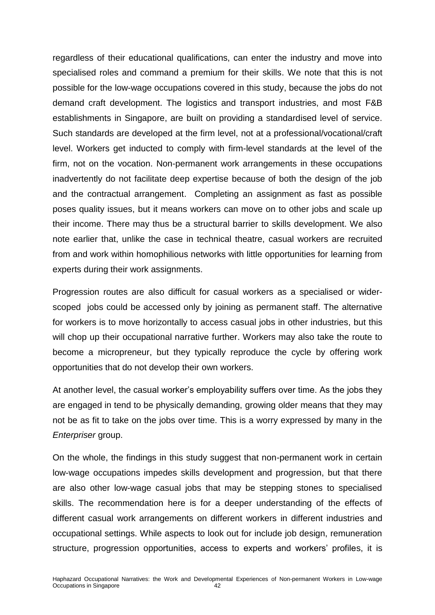regardless of their educational qualifications, can enter the industry and move into specialised roles and command a premium for their skills. We note that this is not possible for the low-wage occupations covered in this study, because the jobs do not demand craft development. The logistics and transport industries, and most F&B establishments in Singapore, are built on providing a standardised level of service. Such standards are developed at the firm level, not at a professional/vocational/craft level. Workers get inducted to comply with firm-level standards at the level of the firm, not on the vocation. Non-permanent work arrangements in these occupations inadvertently do not facilitate deep expertise because of both the design of the job and the contractual arrangement. Completing an assignment as fast as possible poses quality issues, but it means workers can move on to other jobs and scale up their income. There may thus be a structural barrier to skills development. We also note earlier that, unlike the case in technical theatre, casual workers are recruited from and work within homophilious networks with little opportunities for learning from experts during their work assignments.

Progression routes are also difficult for casual workers as a specialised or widerscoped jobs could be accessed only by joining as permanent staff. The alternative for workers is to move horizontally to access casual jobs in other industries, but this will chop up their occupational narrative further. Workers may also take the route to become a micropreneur, but they typically reproduce the cycle by offering work opportunities that do not develop their own workers.

At another level, the casual worker's employability suffers over time. As the jobs they are engaged in tend to be physically demanding, growing older means that they may not be as fit to take on the jobs over time. This is a worry expressed by many in the *Enterpriser* group.

On the whole, the findings in this study suggest that non-permanent work in certain low-wage occupations impedes skills development and progression, but that there are also other low-wage casual jobs that may be stepping stones to specialised skills. The recommendation here is for a deeper understanding of the effects of different casual work arrangements on different workers in different industries and occupational settings. While aspects to look out for include job design, remuneration structure, progression opportunities, access to experts and workers' profiles, it is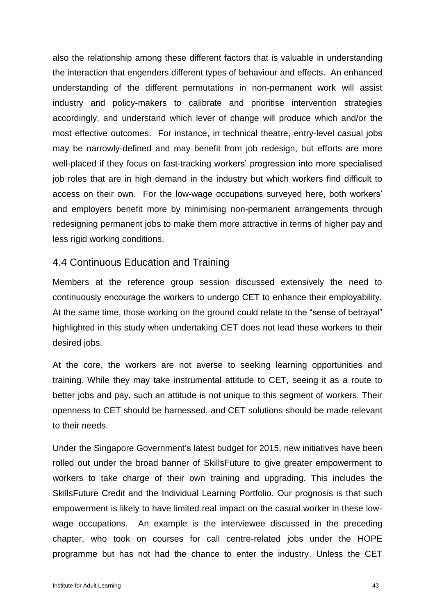also the relationship among these different factors that is valuable in understanding the interaction that engenders different types of behaviour and effects. An enhanced understanding of the different permutations in non-permanent work will assist industry and policy-makers to calibrate and prioritise intervention strategies accordingly, and understand which lever of change will produce which and/or the most effective outcomes. For instance, in technical theatre, entry-level casual jobs may be narrowly-defined and may benefit from job redesign, but efforts are more well-placed if they focus on fast-tracking workers' progression into more specialised job roles that are in high demand in the industry but which workers find difficult to access on their own. For the low-wage occupations surveyed here, both workers' and employers benefit more by minimising non-permanent arrangements through redesigning permanent jobs to make them more attractive in terms of higher pay and less rigid working conditions.

#### <span id="page-54-0"></span>4.4 Continuous Education and Training

Members at the reference group session discussed extensively the need to continuously encourage the workers to undergo CET to enhance their employability. At the same time, those working on the ground could relate to the "sense of betrayal" highlighted in this study when undertaking CET does not lead these workers to their desired jobs.

At the core, the workers are not averse to seeking learning opportunities and training. While they may take instrumental attitude to CET, seeing it as a route to better jobs and pay, such an attitude is not unique to this segment of workers. Their openness to CET should be harnessed, and CET solutions should be made relevant to their needs.

Under the Singapore Government's latest budget for 2015, new initiatives have been rolled out under the broad banner of SkillsFuture to give greater empowerment to workers to take charge of their own training and upgrading. This includes the SkillsFuture Credit and the Individual Learning Portfolio. Our prognosis is that such empowerment is likely to have limited real impact on the casual worker in these lowwage occupations. An example is the interviewee discussed in the preceding chapter, who took on courses for call centre-related jobs under the HOPE programme but has not had the chance to enter the industry. Unless the CET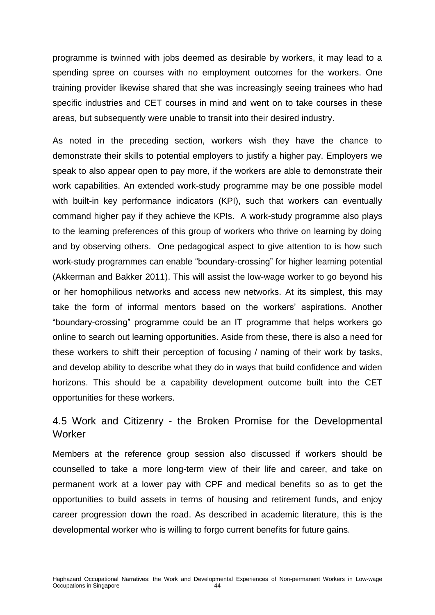programme is twinned with jobs deemed as desirable by workers, it may lead to a spending spree on courses with no employment outcomes for the workers. One training provider likewise shared that she was increasingly seeing trainees who had specific industries and CET courses in mind and went on to take courses in these areas, but subsequently were unable to transit into their desired industry.

As noted in the preceding section, workers wish they have the chance to demonstrate their skills to potential employers to justify a higher pay. Employers we speak to also appear open to pay more, if the workers are able to demonstrate their work capabilities. An extended work-study programme may be one possible model with built-in key performance indicators (KPI), such that workers can eventually command higher pay if they achieve the KPIs. A work-study programme also plays to the learning preferences of this group of workers who thrive on learning by doing and by observing others. One pedagogical aspect to give attention to is how such work-study programmes can enable "boundary-crossing" for higher learning potential (Akkerman and Bakker 2011). This will assist the low-wage worker to go beyond his or her homophilious networks and access new networks. At its simplest, this may take the form of informal mentors based on the workers' aspirations. Another "boundary-crossing" programme could be an IT programme that helps workers go online to search out learning opportunities. Aside from these, there is also a need for these workers to shift their perception of focusing / naming of their work by tasks, and develop ability to describe what they do in ways that build confidence and widen horizons. This should be a capability development outcome built into the CET opportunities for these workers.

### <span id="page-55-0"></span>4.5 Work and Citizenry - the Broken Promise for the Developmental **Worker**

Members at the reference group session also discussed if workers should be counselled to take a more long-term view of their life and career, and take on permanent work at a lower pay with CPF and medical benefits so as to get the opportunities to build assets in terms of housing and retirement funds, and enjoy career progression down the road. As described in academic literature, this is the developmental worker who is willing to forgo current benefits for future gains.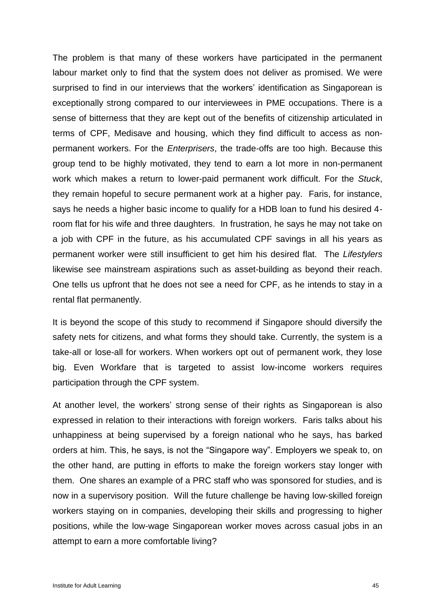The problem is that many of these workers have participated in the permanent labour market only to find that the system does not deliver as promised. We were surprised to find in our interviews that the workers' identification as Singaporean is exceptionally strong compared to our interviewees in PME occupations. There is a sense of bitterness that they are kept out of the benefits of citizenship articulated in terms of CPF, Medisave and housing, which they find difficult to access as nonpermanent workers. For the *Enterprisers*, the trade-offs are too high. Because this group tend to be highly motivated, they tend to earn a lot more in non-permanent work which makes a return to lower-paid permanent work difficult. For the *Stuck*, they remain hopeful to secure permanent work at a higher pay. Faris, for instance, says he needs a higher basic income to qualify for a HDB loan to fund his desired 4 room flat for his wife and three daughters. In frustration, he says he may not take on a job with CPF in the future, as his accumulated CPF savings in all his years as permanent worker were still insufficient to get him his desired flat. The *Lifestylers* likewise see mainstream aspirations such as asset-building as beyond their reach. One tells us upfront that he does not see a need for CPF, as he intends to stay in a rental flat permanently.

It is beyond the scope of this study to recommend if Singapore should diversify the safety nets for citizens, and what forms they should take. Currently, the system is a take-all or lose-all for workers. When workers opt out of permanent work, they lose big. Even Workfare that is targeted to assist low-income workers requires participation through the CPF system.

At another level, the workers' strong sense of their rights as Singaporean is also expressed in relation to their interactions with foreign workers. Faris talks about his unhappiness at being supervised by a foreign national who he says, has barked orders at him. This, he says, is not the "Singapore way". Employers we speak to, on the other hand, are putting in efforts to make the foreign workers stay longer with them. One shares an example of a PRC staff who was sponsored for studies, and is now in a supervisory position. Will the future challenge be having low-skilled foreign workers staying on in companies, developing their skills and progressing to higher positions, while the low-wage Singaporean worker moves across casual jobs in an attempt to earn a more comfortable living?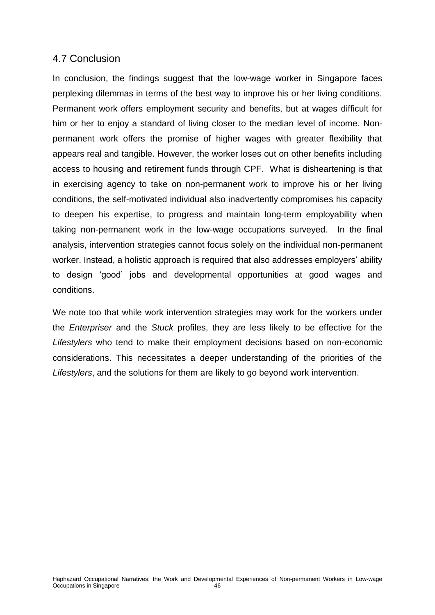#### <span id="page-57-0"></span>4.7 Conclusion

In conclusion, the findings suggest that the low-wage worker in Singapore faces perplexing dilemmas in terms of the best way to improve his or her living conditions. Permanent work offers employment security and benefits, but at wages difficult for him or her to enjoy a standard of living closer to the median level of income. Nonpermanent work offers the promise of higher wages with greater flexibility that appears real and tangible. However, the worker loses out on other benefits including access to housing and retirement funds through CPF. What is disheartening is that in exercising agency to take on non-permanent work to improve his or her living conditions, the self-motivated individual also inadvertently compromises his capacity to deepen his expertise, to progress and maintain long-term employability when taking non-permanent work in the low-wage occupations surveyed. In the final analysis, intervention strategies cannot focus solely on the individual non-permanent worker. Instead, a holistic approach is required that also addresses employers' ability to design 'good' jobs and developmental opportunities at good wages and conditions.

We note too that while work intervention strategies may work for the workers under the *Enterpriser* and the *Stuck* profiles, they are less likely to be effective for the *Lifestylers* who tend to make their employment decisions based on non-economic considerations. This necessitates a deeper understanding of the priorities of the *Lifestylers*, and the solutions for them are likely to go beyond work intervention.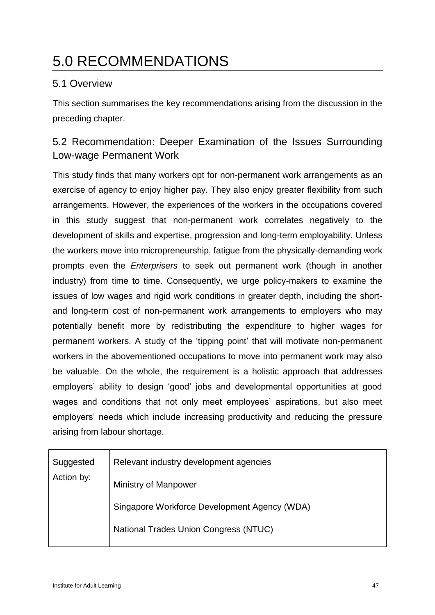## <span id="page-58-0"></span>5.0 RECOMMENDATIONS

## <span id="page-58-1"></span>5.1 Overview

This section summarises the key recommendations arising from the discussion in the preceding chapter.

## <span id="page-58-2"></span>5.2 Recommendation: Deeper Examination of the Issues Surrounding Low-wage Permanent Work

This study finds that many workers opt for non-permanent work arrangements as an exercise of agency to enjoy higher pay. They also enjoy greater flexibility from such arrangements. However, the experiences of the workers in the occupations covered in this study suggest that non-permanent work correlates negatively to the development of skills and expertise, progression and long-term employability. Unless the workers move into micropreneurship, fatigue from the physically-demanding work prompts even the *Enterprisers* to seek out permanent work (though in another industry) from time to time. Consequently, we urge policy-makers to examine the issues of low wages and rigid work conditions in greater depth, including the shortand long-term cost of non-permanent work arrangements to employers who may potentially benefit more by redistributing the expenditure to higher wages for permanent workers. A study of the 'tipping point' that will motivate non-permanent workers in the abovementioned occupations to move into permanent work may also be valuable. On the whole, the requirement is a holistic approach that addresses employers' ability to design 'good' jobs and developmental opportunities at good wages and conditions that not only meet employees' aspirations, but also meet employers' needs which include increasing productivity and reducing the pressure arising from labour shortage.

| Suggested  | Relevant industry development agencies       |
|------------|----------------------------------------------|
| Action by: | <b>Ministry of Manpower</b>                  |
|            | Singapore Workforce Development Agency (WDA) |
|            | <b>National Trades Union Congress (NTUC)</b> |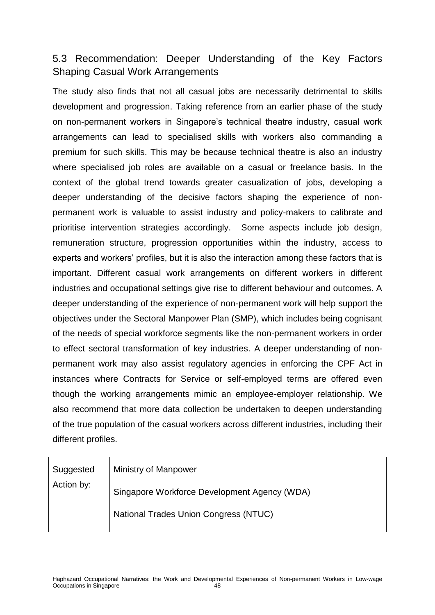## <span id="page-59-0"></span>5.3 Recommendation: Deeper Understanding of the Key Factors Shaping Casual Work Arrangements

The study also finds that not all casual jobs are necessarily detrimental to skills development and progression. Taking reference from an earlier phase of the study on non-permanent workers in Singapore's technical theatre industry, casual work arrangements can lead to specialised skills with workers also commanding a premium for such skills. This may be because technical theatre is also an industry where specialised job roles are available on a casual or freelance basis. In the context of the global trend towards greater casualization of jobs, developing a deeper understanding of the decisive factors shaping the experience of nonpermanent work is valuable to assist industry and policy-makers to calibrate and prioritise intervention strategies accordingly. Some aspects include job design, remuneration structure, progression opportunities within the industry, access to experts and workers' profiles, but it is also the interaction among these factors that is important. Different casual work arrangements on different workers in different industries and occupational settings give rise to different behaviour and outcomes. A deeper understanding of the experience of non-permanent work will help support the objectives under the Sectoral Manpower Plan (SMP), which includes being cognisant of the needs of special workforce segments like the non-permanent workers in order to effect sectoral transformation of key industries. A deeper understanding of nonpermanent work may also assist regulatory agencies in enforcing the CPF Act in instances where Contracts for Service or self-employed terms are offered even though the working arrangements mimic an employee-employer relationship. We also recommend that more data collection be undertaken to deepen understanding of the true population of the casual workers across different industries, including their different profiles.

| Suggested  | <b>Ministry of Manpower</b>                  |
|------------|----------------------------------------------|
| Action by: | Singapore Workforce Development Agency (WDA) |
|            | <b>National Trades Union Congress (NTUC)</b> |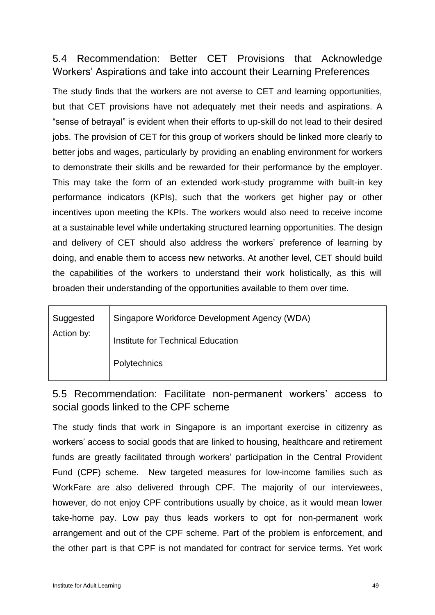## <span id="page-60-0"></span>5.4 Recommendation: Better CET Provisions that Acknowledge Workers' Aspirations and take into account their Learning Preferences

The study finds that the workers are not averse to CET and learning opportunities, but that CET provisions have not adequately met their needs and aspirations. A "sense of betrayal" is evident when their efforts to up-skill do not lead to their desired jobs. The provision of CET for this group of workers should be linked more clearly to better jobs and wages, particularly by providing an enabling environment for workers to demonstrate their skills and be rewarded for their performance by the employer. This may take the form of an extended work-study programme with built-in key performance indicators (KPIs), such that the workers get higher pay or other incentives upon meeting the KPIs. The workers would also need to receive income at a sustainable level while undertaking structured learning opportunities. The design and delivery of CET should also address the workers' preference of learning by doing, and enable them to access new networks. At another level, CET should build the capabilities of the workers to understand their work holistically, as this will broaden their understanding of the opportunities available to them over time.

| Suggested<br>Action by: | Singapore Workforce Development Agency (WDA)<br>Institute for Technical Education |
|-------------------------|-----------------------------------------------------------------------------------|
|                         | Polytechnics                                                                      |

### <span id="page-60-1"></span>5.5 Recommendation: Facilitate non-permanent workers' access to social goods linked to the CPF scheme

The study finds that work in Singapore is an important exercise in citizenry as workers' access to social goods that are linked to housing, healthcare and retirement funds are greatly facilitated through workers' participation in the Central Provident Fund (CPF) scheme. New targeted measures for low-income families such as WorkFare are also delivered through CPF. The majority of our interviewees, however, do not enjoy CPF contributions usually by choice, as it would mean lower take-home pay. Low pay thus leads workers to opt for non-permanent work arrangement and out of the CPF scheme. Part of the problem is enforcement, and the other part is that CPF is not mandated for contract for service terms. Yet work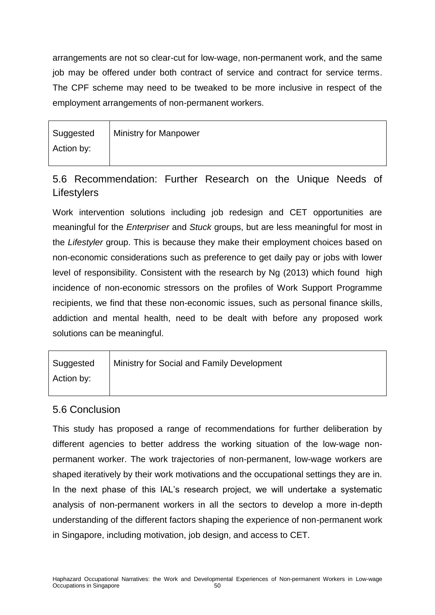arrangements are not so clear-cut for low-wage, non-permanent work, and the same job may be offered under both contract of service and contract for service terms. The CPF scheme may need to be tweaked to be more inclusive in respect of the employment arrangements of non-permanent workers.

| Suggested  | <b>Ministry for Manpower</b> |
|------------|------------------------------|
| Action by: |                              |

## <span id="page-61-0"></span>5.6 Recommendation: Further Research on the Unique Needs of **Lifestylers**

Work intervention solutions including job redesign and CET opportunities are meaningful for the *Enterpriser* and *Stuck* groups, but are less meaningful for most in the *Lifestyler* group. This is because they make their employment choices based on non-economic considerations such as preference to get daily pay or jobs with lower level of responsibility. Consistent with the research by Ng (2013) which found high incidence of non-economic stressors on the profiles of Work Support Programme recipients, we find that these non-economic issues, such as personal finance skills, addiction and mental health, need to be dealt with before any proposed work solutions can be meaningful.

| Suggested  | Ministry for Social and Family Development |
|------------|--------------------------------------------|
| Action by: |                                            |

### <span id="page-61-1"></span>5.6 Conclusion

This study has proposed a range of recommendations for further deliberation by different agencies to better address the working situation of the low-wage nonpermanent worker. The work trajectories of non-permanent, low-wage workers are shaped iteratively by their work motivations and the occupational settings they are in. In the next phase of this IAL's research project, we will undertake a systematic analysis of non-permanent workers in all the sectors to develop a more in-depth understanding of the different factors shaping the experience of non-permanent work in Singapore, including motivation, job design, and access to CET.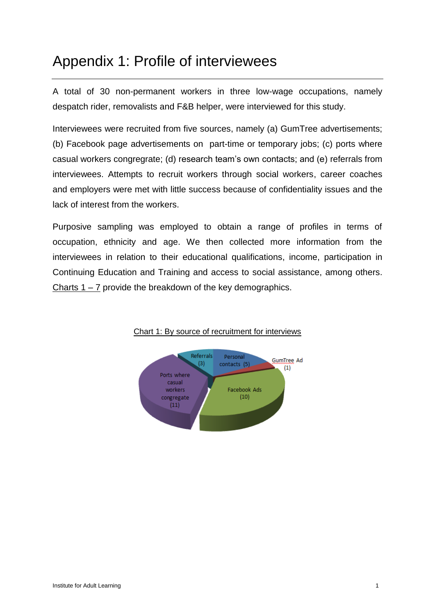## <span id="page-62-0"></span>Appendix 1: Profile of interviewees

A total of 30 non-permanent workers in three low-wage occupations, namely despatch rider, removalists and F&B helper, were interviewed for this study.

Interviewees were recruited from five sources, namely (a) GumTree advertisements; (b) Facebook page advertisements on part-time or temporary jobs; (c) ports where casual workers congregrate; (d) research team's own contacts; and (e) referrals from interviewees. Attempts to recruit workers through social workers, career coaches and employers were met with little success because of confidentiality issues and the lack of interest from the workers.

Purposive sampling was employed to obtain a range of profiles in terms of occupation, ethnicity and age. We then collected more information from the interviewees in relation to their educational qualifications, income, participation in Continuing Education and Training and access to social assistance, among others. Charts 1 – 7 provide the breakdown of the key demographics.



#### Chart 1: By source of recruitment for interviews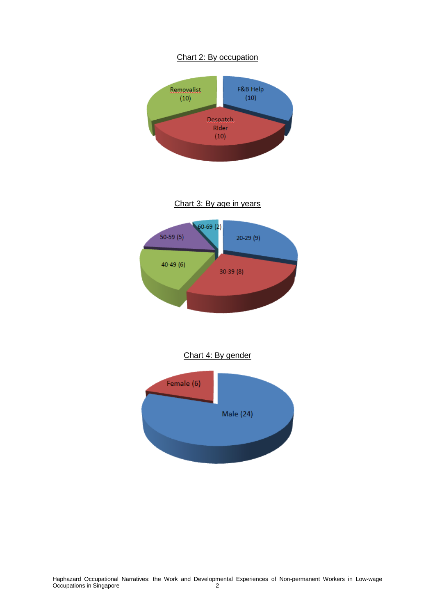#### Chart 2: By occupation



Chart 3: By age in years



Chart 4: By gender

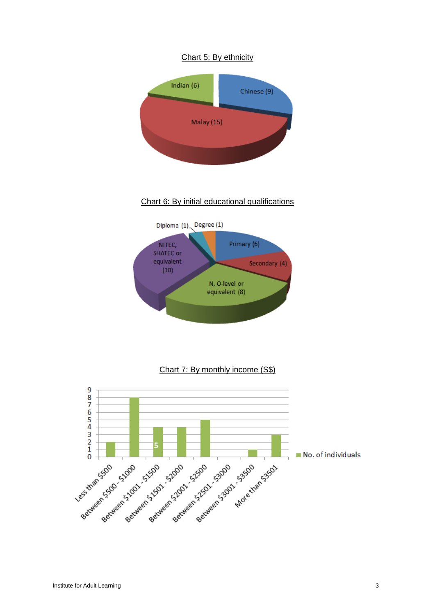#### Chart 5: By ethnicity



#### Chart 6: By initial educational qualifications





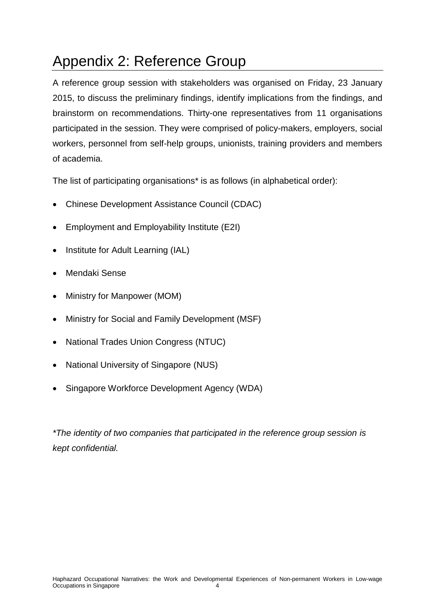## <span id="page-65-0"></span>Appendix 2: Reference Group

A reference group session with stakeholders was organised on Friday, 23 January 2015, to discuss the preliminary findings, identify implications from the findings, and brainstorm on recommendations. Thirty-one representatives from 11 organisations participated in the session. They were comprised of policy-makers, employers, social workers, personnel from self-help groups, unionists, training providers and members of academia.

The list of participating organisations\* is as follows (in alphabetical order):

- Chinese Development Assistance Council (CDAC)
- Employment and Employability Institute (E2I)
- Institute for Adult Learning (IAL)
- Mendaki Sense
- Ministry for Manpower (MOM)
- Ministry for Social and Family Development (MSF)
- National Trades Union Congress (NTUC)
- National University of Singapore (NUS)
- Singapore Workforce Development Agency (WDA)

*\*The identity of two companies that participated in the reference group session is kept confidential.*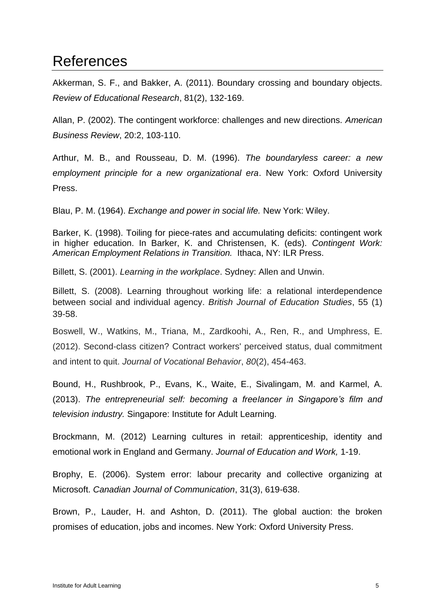## <span id="page-66-0"></span>References

Akkerman, S. F., and Bakker, A. (2011). Boundary crossing and boundary objects. *Review of Educational Research*, 81(2), 132-169.

Allan, P. (2002). The contingent workforce: challenges and new directions. *American Business Review*, 20:2, 103-110.

Arthur, M. B., and Rousseau, D. M. (1996). *The boundaryless career: a new employment principle for a new organizational era*. New York: Oxford University Press.

Blau, P. M. (1964). *Exchange and power in social life.* New York: Wiley.

Barker, K. (1998). Toiling for piece-rates and accumulating deficits: contingent work in higher education. In Barker, K. and Christensen, K. (eds). *Contingent Work: American Employment Relations in Transition.* Ithaca, NY: ILR Press.

Billett, S. (2001). *Learning in the workplace*. Sydney: Allen and Unwin.

Billett, S. (2008). Learning throughout working life: a relational interdependence between social and individual agency. *British Journal of Education Studies*, 55 (1) 39-58.

Boswell, W., Watkins, M., Triana, M., Zardkoohi, A., Ren, R., and Umphress, E. (2012). Second-class citizen? Contract workers' perceived status, dual commitment and intent to quit. *Journal of Vocational Behavior*, *80*(2), 454-463.

Bound, H., Rushbrook, P., Evans, K., Waite, E., Sivalingam, M. and Karmel, A. (2013). *The entrepreneurial self: becoming a freelancer in Singapore's film and television industry.* Singapore: Institute for Adult Learning.

Brockmann, M. (2012) Learning cultures in retail: apprenticeship, identity and emotional work in England and Germany. *Journal of Education and Work,* 1-19.

Brophy, E. (2006). System error: labour precarity and collective organizing at Microsoft. *Canadian Journal of Communication*, 31(3), 619-638.

Brown, P., Lauder, H. and Ashton, D. (2011). The global auction: the broken promises of education, jobs and incomes. New York: Oxford University Press.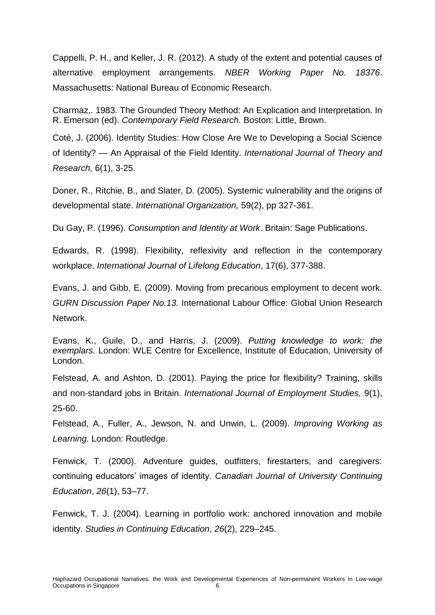Cappelli, P. H., and Keller, J. R. (2012). A study of the extent and potential causes of alternative employment arrangements. *NBER Working Paper No. 18376*. Massachusetts: National Bureau of Economic Research.

Charmaz,. 1983. The Grounded Theory Method: An Explication and Interpretation. In R. Emerson (ed). *Contemporary Field Research.* Boston: Little, Brown.

Coté, J. (2006). Identity Studies: How Close Are We to Developing a Social Science of Identity? — An Appraisal of the Field Identity. *International Journal of Theory and Research,* 6(1), 3-25.

Doner, R., Ritchie, B., and Slater, D. (2005). Systemic vulnerability and the origins of developmental state. *International Organization,* 59(2), pp 327-361.

Du Gay, P. (1996). *Consumption and Identity at Work*. Britain: Sage Publications.

Edwards, R. (1998). Flexibility, reflexivity and reflection in the contemporary workplace. *International Journal of Lifelong Education*, 17(6), 377-388.

Evans, J. and Gibb, E. (2009). Moving from precarious employment to decent work. *GURN Discussion Paper No.13.* International Labour Office: Global Union Research Network.

Evans, K., Guile, D., and Harris, J. (2009). *Putting knowledge to work: the exemplars.* London: WLE Centre for Excellence, Institute of Education, University of London.

Felstead, A. and Ashton, D. (2001). Paying the price for flexibility? Training, skills and non-standard jobs in Britain. *International Journal of Employment Studies,* 9(1), 25-60.

Felstead, A., Fuller, A., Jewson, N. and Unwin, L. (2009). *Improving Working as Learning.* London: Routledge.

Fenwick, T. (2000). Adventure guides, outfitters, firestarters, and caregivers: continuing educators' images of identity. *Canadian Journal of University Continuing Education*, *26*(1), 53–77.

Fenwick, T. J. (2004). Learning in portfolio work: anchored innovation and mobile identity. *Studies in Continuing Education*, *26*(2), 229–245.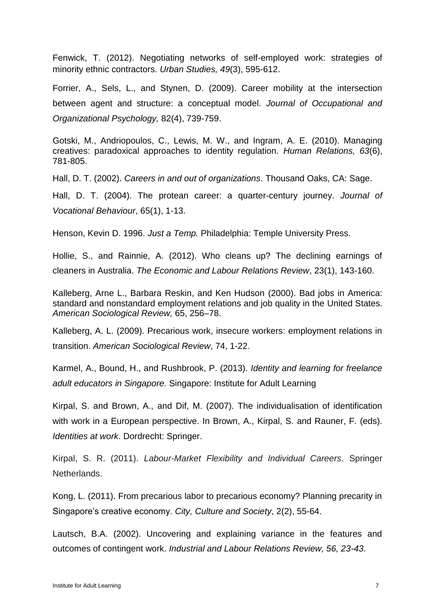Fenwick, T. (2012). Negotiating networks of self-employed work: strategies of minority ethnic contractors. *Urban Studies, 49*(3), 595-612.

Forrier, A., Sels, L., and Stynen, D. (2009). Career mobility at the intersection between agent and structure: a conceptual model. *Journal of Occupational and Organizational Psychology,* 82(4), 739-759.

Gotski, M., Andriopoulos, C., Lewis, M. W., and Ingram, A. E. (2010). Managing creatives: paradoxical approaches to identity regulation. *Human Relations, 63*(6), 781-805.

Hall, D. T. (2002). *Careers in and out of organizations*. Thousand Oaks, CA: Sage.

Hall, D. T. (2004). The protean career: a quarter-century journey. *Journal of Vocational Behaviour*, 65(1), 1-13.

Henson, Kevin D. 1996. *Just a Temp.* Philadelphia: Temple University Press.

Hollie, S., and Rainnie, A. (2012). Who cleans up? The declining earnings of cleaners in Australia. *The Economic and Labour Relations Review*, 23(1), 143-160.

Kalleberg, Arne L., Barbara Reskin, and Ken Hudson (2000). Bad jobs in America: standard and nonstandard employment relations and job quality in the United States. *American Sociological Review,* 65, 256–78.

Kalleberg, A. L. (2009). Precarious work, insecure workers: employment relations in transition. *American Sociological Review*, 74, 1-22.

Karmel, A., Bound, H., and Rushbrook, P. (2013). *Identity and learning for freelance adult educators in Singapore.* Singapore: Institute for Adult Learning

Kirpal, S. and Brown, A., and Dif, M. (2007). The individualisation of identification with work in a European perspective. In Brown, A., Kirpal, S. and Rauner, F. (eds). *Identities at work*. Dordrecht: Springer.

Kirpal, S. R. (2011). *Labour-Market Flexibility and Individual Careers*. Springer Netherlands.

Kong, L. (2011). From precarious labor to precarious economy? Planning precarity in Singapore's creative economy. *City, Culture and Society*, 2(2), 55-64.

Lautsch, B.A. (2002). Uncovering and explaining variance in the features and outcomes of contingent work. *Industrial and Labour Relations Review, 56, 23-43.*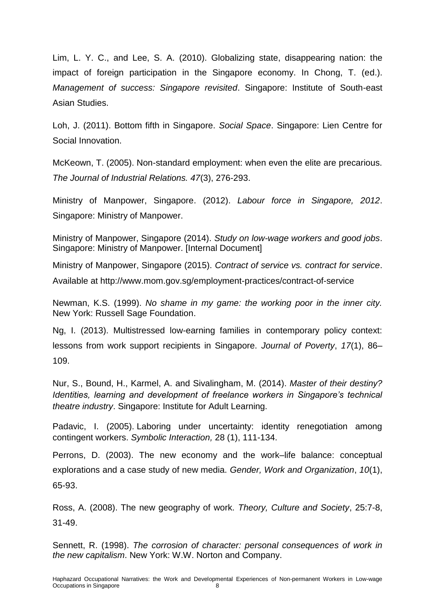Lim, L. Y. C., and Lee, S. A. (2010). Globalizing state, disappearing nation: the impact of foreign participation in the Singapore economy. In Chong, T. (ed.). *Management of success: Singapore revisited*. Singapore: Institute of South-east Asian Studies.

Loh, J. (2011). Bottom fifth in Singapore. *Social Space*. Singapore: Lien Centre for Social Innovation.

McKeown, T. (2005). Non-standard employment: when even the elite are precarious. *The Journal of Industrial Relations. 47*(3), 276-293.

Ministry of Manpower, Singapore. (2012). *Labour force in Singapore, 2012*. Singapore: Ministry of Manpower.

Ministry of Manpower, Singapore (2014). *Study on low-wage workers and good jobs*. Singapore: Ministry of Manpower. [Internal Document]

Ministry of Manpower, Singapore (2015). *Contract of service vs. contract for service*.

Available at http://www.mom.gov.sg/employment-practices/contract-of-service

Newman, K.S. (1999). *No shame in my game: the working poor in the inner city.*  New York: Russell Sage Foundation.

Ng, I. (2013). Multistressed low-earning families in contemporary policy context: lessons from work support recipients in Singapore. *Journal of Poverty*, *17*(1), 86– 109.

Nur, S., Bound, H., Karmel, A. and Sivalingham, M. (2014). *Master of their destiny? Identities, learning and development of freelance workers in Singapore's technical theatre industry*. Singapore: Institute for Adult Learning.

Padavic, I. (2005). [Laboring under uncertainty: identity renegotiation among](http://www.coss.fsu.edu/sociology/sites/coss.fsu.edu.sociology/files/2005_Padavic_Laboring_Under.pdf)  [contingent workers.](http://www.coss.fsu.edu/sociology/sites/coss.fsu.edu.sociology/files/2005_Padavic_Laboring_Under.pdf) *Symbolic Interaction,* 28 (1), 111-134.

Perrons, D. (2003). The new economy and the work–life balance: conceptual explorations and a case study of new media. *Gender, Work and Organization*, *10*(1), 65-93.

Ross, A. (2008). The new geography of work. *Theory, Culture and Society*, 25:7-8, 31-49.

Sennett, R. (1998). *The corrosion of character: personal consequences of work in the new capitalism*. New York: W.W. Norton and Company.